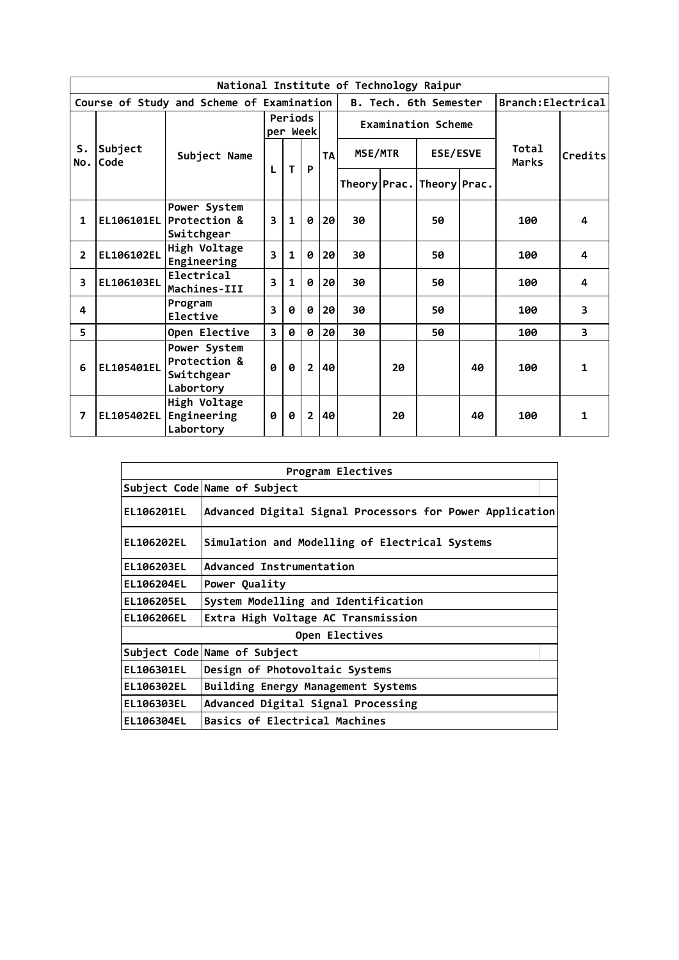|                | National Institute of Technology Raipur |                                                         |                     |              |                |           |              |    |                           |    |                       |                         |  |  |
|----------------|-----------------------------------------|---------------------------------------------------------|---------------------|--------------|----------------|-----------|--------------|----|---------------------------|----|-----------------------|-------------------------|--|--|
|                |                                         | Course of Study and Scheme of Examination               |                     |              |                |           |              |    | B. Tech. 6th Semester     |    | Branch: Electrical    |                         |  |  |
|                |                                         |                                                         | Periods<br>per Week |              |                |           |              |    | <b>Examination Scheme</b> |    |                       |                         |  |  |
| S.<br>No.      | Subject<br><b>Code</b>                  | Subject Name                                            | L                   |              |                | <b>TA</b> | MSE/MTR      |    | <b>ESE/ESVE</b>           |    | <b>Total</b><br>Marks | Credits                 |  |  |
|                |                                         |                                                         |                     | T            | P              |           | Theory Prac. |    | Theory Prac.              |    |                       |                         |  |  |
| 1              |                                         | Power System<br>EL106101EL Protection &<br>Switchgear   | 3                   | $\mathbf{1}$ | Ø              | 20        | 30           |    | 50                        |    | 100                   | 4                       |  |  |
| $\overline{2}$ | EL106102EL                              | High Voltage<br>Engineering                             | 3                   | $\mathbf{1}$ | Ø              | 20        | 30           |    | 50                        |    | 100                   | 4                       |  |  |
| 3              | EL106103EL                              | Electrical<br>Machines-III                              | 3                   | 1            | 0              | 20        | 30           |    | 50                        |    | 100                   | 4                       |  |  |
| 4              |                                         | Program<br>Elective                                     | 3                   | ø            | 0              | 20        | 30           |    | 50                        |    | 100                   | 3                       |  |  |
| 5              |                                         | Open Elective                                           | 3                   | Ø            | Ø              | 20        | 30           |    | 50                        |    | 100                   | $\overline{\mathbf{3}}$ |  |  |
| 6              | <b>EL105401EL</b>                       | Power System<br>Protection &<br>Switchgear<br>Labortory | 0                   | Ø            | $\overline{2}$ | 40        |              | 20 |                           | 40 | 100                   | 1                       |  |  |
| $\overline{ }$ | <b>EL105402EL</b>                       | High Voltage<br>Engineering<br>Labortory                | 0                   | Ø            | $\overline{2}$ | 40        |              | 20 |                           | 40 | 100                   | 1                       |  |  |

|                   | Program Electives                                        |
|-------------------|----------------------------------------------------------|
|                   | Subject Code Name of Subject                             |
| <b>EL106201EL</b> | Advanced Digital Signal Processors for Power Application |
| EL106202EL        | Simulation and Modelling of Electrical Systems           |
| EL106203EL        | Advanced Instrumentation                                 |
| <b>EL106204EL</b> | Power Quality                                            |
| EL106205EL        | System Modelling and Identification                      |
| EL106206EL        | Extra High Voltage AC Transmission                       |
|                   | Open Electives                                           |
|                   | Subject Code Name of Subject                             |
| EL106301EL        | Design of Photovoltaic Systems                           |
| EL106302EL        | Building Energy Management Systems                       |
| EL106303EL        | Advanced Digital Signal Processing                       |
| <b>EL106304EL</b> | Basics of Electrical Machines                            |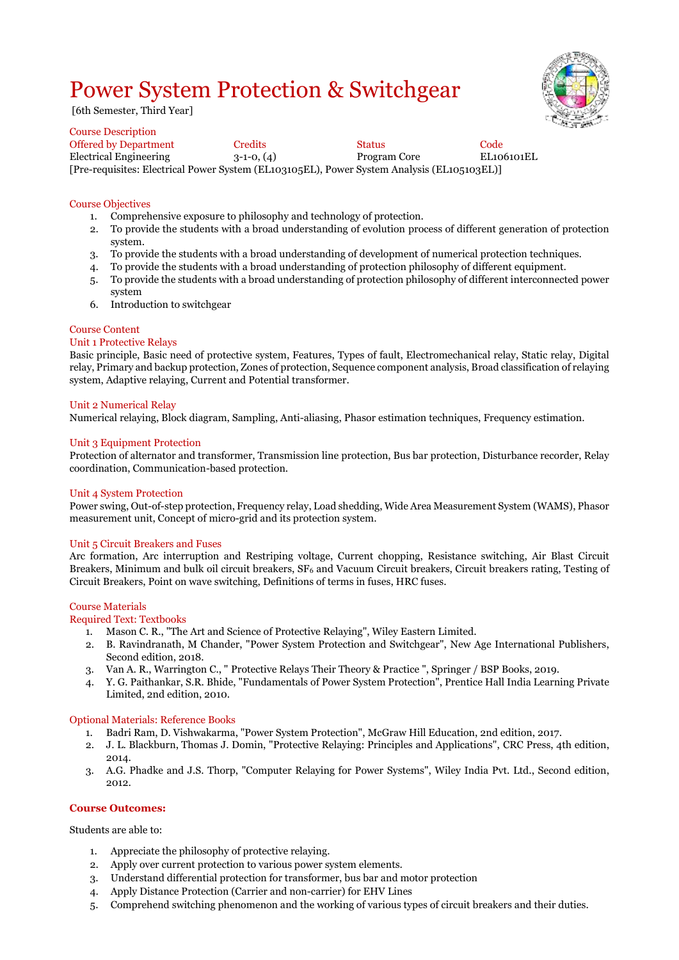## Power System Protection & Switchgear

[6th Semester, Third Year]

| Course Description                                                                         |              |               |            |
|--------------------------------------------------------------------------------------------|--------------|---------------|------------|
| Offered by Department                                                                      | Credits      | <b>Status</b> | Code       |
| Electrical Engineering                                                                     | $3-1-0. (4)$ | Program Core  | EL106101EL |
| [Pre-requisites: Electrical Power System (EL103105EL), Power System Analysis (EL105103EL)] |              |               |            |

#### Course Objectives

Course Description

- 
- 1. Comprehensive exposure to philosophy and technology of protection.<br>2. To provide the students with a broad understanding of evolution pro 2. To provide the students with a broad understanding of evolution process of different generation of protection system.
- 
- 3. To provide the students with a broad understanding of development of numerical protection techniques. 4. To provide the students with a broad understanding of protection philosophy of different equipment.
- 5. To provide the students with a broad understanding of protection philosophy of different interconnected power system
- 6. Introduction to switchgear

#### Course Content

#### Unit 1 Protective Relays

Basic principle, Basic need of protective system, Features, Types of fault, Electromechanical relay, Static relay, Digital relay, Primary and backup protection, Zones of protection, Sequence component analysis, Broad classification of relaying system, Adaptive relaying, Current and Potential transformer.

#### Unit 2 Numerical Relay

Numerical relaying, Block diagram, Sampling, Anti-aliasing, Phasor estimation techniques, Frequency estimation.

#### Unit 3 Equipment Protection

Protection of alternator and transformer, Transmission line protection, Bus bar protection, Disturbance recorder, Relay coordination, Communication-based protection.

#### Unit 4 System Protection

Power swing, Out-of-step protection, Frequency relay, Load shedding, Wide Area Measurement System (WAMS), Phasor measurement unit, Concept of micro-grid and its protection system.

#### Unit 5 Circuit Breakers and Fuses

Arc formation, Arc interruption and Restriping voltage, Current chopping, Resistance switching, Air Blast Circuit Breakers, Minimum and bulk oil circuit breakers,  $SF_6$  and Vacuum Circuit breakers, Circuit breakers rating, Testing of Circuit Breakers, Point on wave switching, Definitions of terms in fuses, HRC fuses.

#### Course Materials

#### Required Text: Textbooks

- 1. Mason C. R., "The Art and Science of Protective Relaying", Wiley Eastern Limited.
- 2. B. Ravindranath, M Chander, "Power System Protection and Switchgear", New Age International Publishers, Second edition, 2018.
- 3. Van A. R., Warrington C., " Protective Relays Their Theory & Practice ", Springer / BSP Books, 2019.
- 4. Y. G. Paithankar, S.R. Bhide, "Fundamentals of Power System Protection", Prentice Hall India Learning Private Limited, 2nd edition, 2010.

#### Optional Materials: Reference Books

- 1. Badri Ram, D. Vishwakarma, "Power System Protection", McGraw Hill Education, 2nd edition, 2017.
- 2. J. L. Blackburn, Thomas J. Domin, "Protective Relaying: Principles and Applications", CRC Press, 4th edition, 2014.
- 3. A.G. Phadke and J.S. Thorp, "Computer Relaying for Power Systems", Wiley India Pvt. Ltd., Second edition, 2012.

#### **Course Outcomes:**

Students are able to:

- 1. Appreciate the philosophy of protective relaying.
- 2. Apply over current protection to various power system elements.
- 3. Understand differential protection for transformer, bus bar and motor protection
- 4. Apply Distance Protection (Carrier and non-carrier) for EHV Lines
- 5. Comprehend switching phenomenon and the working of various types of circuit breakers and their duties.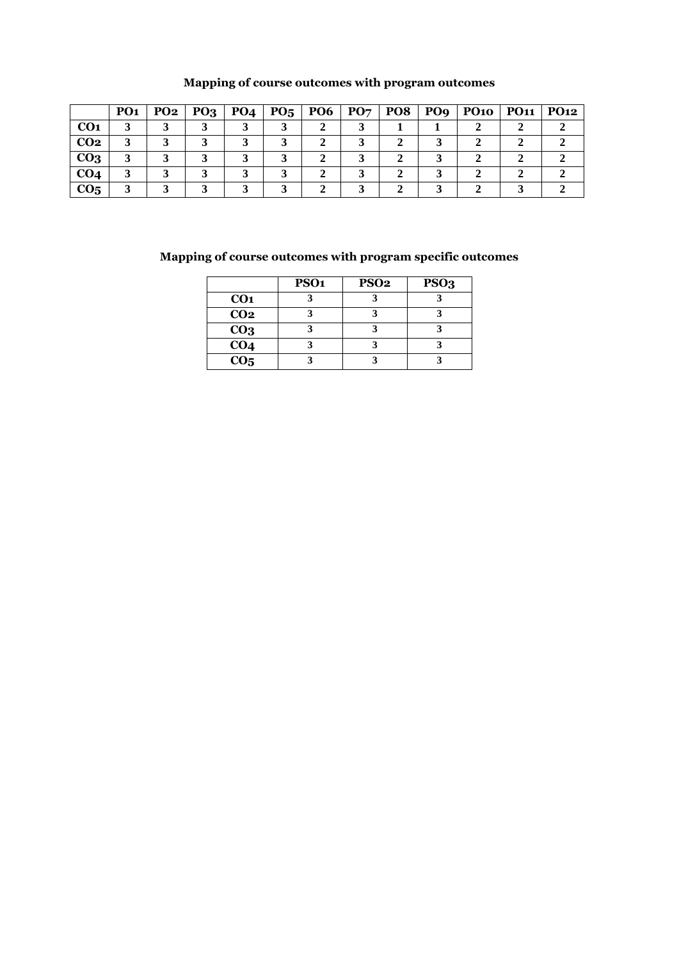|                 | PO <sub>1</sub> | PO <sub>2</sub> | PO <sub>3</sub> | PO <sub>4</sub> | $P_{05}$ | PO <sub>6</sub> | PO <sub>7</sub> | <b>PO8</b> | PO <sub>9</sub> | <b>PO10</b> | <b>PO11</b> | <b>PO12</b> |
|-----------------|-----------------|-----------------|-----------------|-----------------|----------|-----------------|-----------------|------------|-----------------|-------------|-------------|-------------|
| CO <sub>1</sub> |                 |                 |                 |                 |          |                 |                 |            |                 |             |             |             |
| CO <sub>2</sub> |                 |                 |                 |                 |          |                 |                 |            |                 |             |             |             |
| CO <sub>3</sub> |                 |                 |                 |                 |          |                 |                 |            |                 |             |             |             |
| CO <sub>4</sub> |                 |                 |                 |                 |          |                 |                 |            |                 |             |             |             |
| CO <sub>5</sub> |                 |                 |                 |                 |          |                 |                 |            |                 |             |             |             |

### **Mapping of course outcomes with program outcomes**

|                         | PSO <sub>1</sub> | <b>PSO2</b> | PSO <sub>3</sub> |
|-------------------------|------------------|-------------|------------------|
| CO <sub>1</sub>         |                  |             |                  |
| CO <sub>2</sub>         |                  |             |                  |
| CO <sub>3</sub>         |                  |             |                  |
| $\overline{CO4}$        |                  |             |                  |
| $\overline{{\bf CO_5}}$ |                  |             |                  |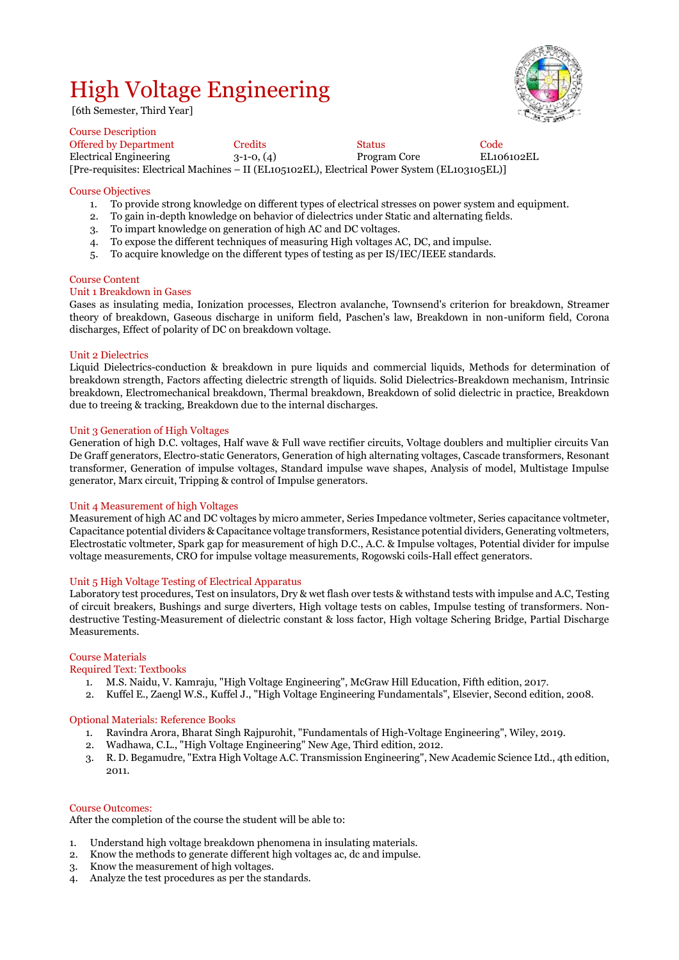## High Voltage Engineering



[6th Semester, Third Year]

Course Description Offered by Department Credits Code<br>
Electrical Engineering 3-1-0, (4) Trogram Core EL106102EL Electrical Engineering 3-1-0, (4) Program Core [Pre-requisites: Electrical Machines – II (EL105102EL), Electrical Power System (EL103105EL)]

#### Course Objectives

- 1. To provide strong knowledge on different types of electrical stresses on power system and equipment.
- 2. To gain in-depth knowledge on behavior of dielectrics under Static and alternating fields.
- 3. To impart knowledge on generation of high AC and DC voltages.
- 4. To expose the different techniques of measuring High voltages AC, DC, and impulse.
- 5. To acquire knowledge on the different types of testing as per IS/IEC/IEEE standards.

#### Course Content

#### Unit 1 Breakdown in Gases

Gases as insulating media, Ionization processes, Electron avalanche, Townsend's criterion for breakdown, Streamer theory of breakdown, Gaseous discharge in uniform field, Paschen's law, Breakdown in non-uniform field, Corona discharges, Effect of polarity of DC on breakdown voltage.

#### Unit 2 Dielectrics

Liquid Dielectrics-conduction & breakdown in pure liquids and commercial liquids, Methods for determination of breakdown strength, Factors affecting dielectric strength of liquids. Solid Dielectrics-Breakdown mechanism, Intrinsic breakdown, Electromechanical breakdown, Thermal breakdown, Breakdown of solid dielectric in practice, Breakdown due to treeing & tracking, Breakdown due to the internal discharges.

#### Unit 3 Generation of High Voltages

Generation of high D.C. voltages, Half wave & Full wave rectifier circuits, Voltage doublers and multiplier circuits Van De Graff generators, Electro-static Generators, Generation of high alternating voltages, Cascade transformers, Resonant transformer, Generation of impulse voltages, Standard impulse wave shapes, Analysis of model, Multistage Impulse generator, Marx circuit, Tripping & control of Impulse generators.

#### Unit 4 Measurement of high Voltages

Measurement of high AC and DC voltages by micro ammeter, Series Impedance voltmeter, Series capacitance voltmeter, Capacitance potential dividers & Capacitance voltage transformers, Resistance potential dividers, Generating voltmeters, Electrostatic voltmeter, Spark gap for measurement of high D.C., A.C. & Impulse voltages, Potential divider for impulse voltage measurements, CRO for impulse voltage measurements, Rogowski coils-Hall effect generators.

#### Unit 5 High Voltage Testing of Electrical Apparatus

Laboratory test procedures, Test on insulators, Dry & wet flash over tests & withstand tests with impulse and A.C, Testing of circuit breakers, Bushings and surge diverters, High voltage tests on cables, Impulse testing of transformers. Nondestructive Testing-Measurement of dielectric constant & loss factor, High voltage Schering Bridge, Partial Discharge **Measurements** 

#### Course Materials

#### Required Text: Textbooks

- 1. M.S. Naidu, V. Kamraju, "High Voltage Engineering", McGraw Hill Education, Fifth edition, 2017.
- 2. Kuffel E., Zaengl W.S., Kuffel J., "High Voltage Engineering Fundamentals", Elsevier, Second edition, 2008.

#### Optional Materials: Reference Books

- 1. Ravindra Arora, Bharat Singh Rajpurohit, "Fundamentals of High-Voltage Engineering", Wiley, 2019.
- 2. Wadhawa, C.L., "High Voltage Engineering" New Age, Third edition, 2012.
- 3. R. D. Begamudre, "Extra High Voltage A.C. Transmission Engineering", New Academic Science Ltd., 4th edition, 2011.

#### Course Outcomes:

After the completion of the course the student will be able to:

- 1. Understand high voltage breakdown phenomena in insulating materials.
- 2. Know the methods to generate different high voltages ac, dc and impulse.
- 3. Know the measurement of high voltages.
- 4. Analyze the test procedures as per the standards.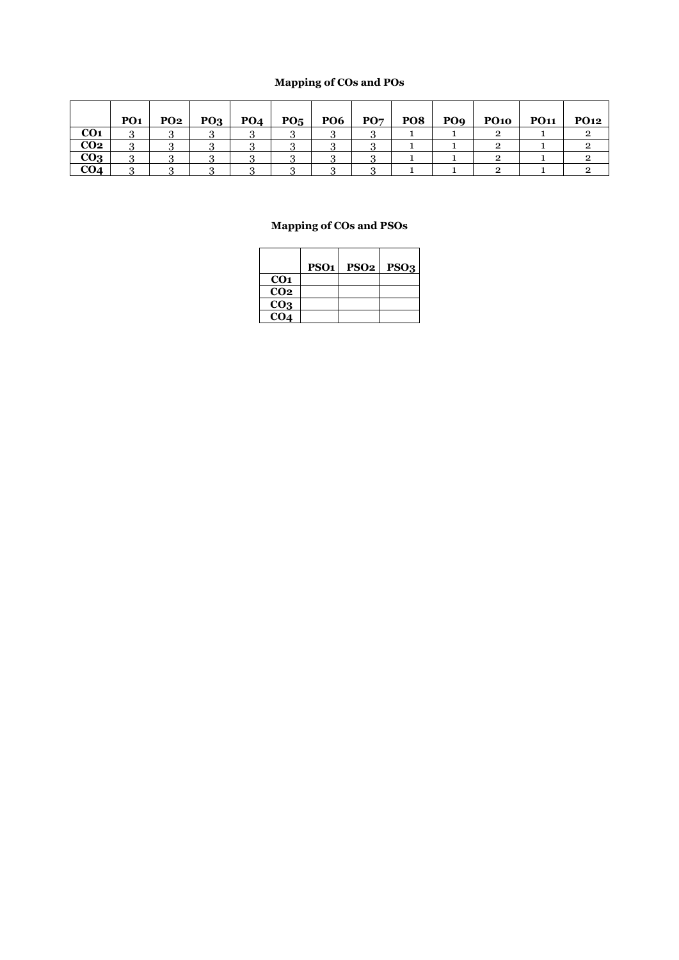### **Mapping of COs and POs**

|                 | PO <sub>1</sub> | PO <sub>2</sub> | PO <sub>3</sub> | PO <sub>4</sub> | PO <sub>5</sub> | PO <sub>6</sub> | PO <sub>7</sub> | PO8 | PO <sub>9</sub> | <b>PO10</b> | <b>PO11</b> | <b>PO12</b> |
|-----------------|-----------------|-----------------|-----------------|-----------------|-----------------|-----------------|-----------------|-----|-----------------|-------------|-------------|-------------|
| CO <sub>1</sub> |                 |                 |                 |                 |                 |                 |                 |     |                 |             |             |             |
| CO <sub>2</sub> | $\cdot$         |                 |                 |                 |                 |                 |                 |     |                 |             |             |             |
| CO <sub>3</sub> |                 |                 |                 |                 |                 |                 |                 |     |                 |             |             |             |
| CO <sub>4</sub> |                 |                 |                 |                 |                 |                 |                 |     |                 |             |             |             |

|                 | PSO <sub>1</sub> | PSO <sub>2</sub> | PSO <sub>3</sub> |
|-----------------|------------------|------------------|------------------|
| CO <sub>1</sub> |                  |                  |                  |
| CO <sub>2</sub> |                  |                  |                  |
| CO <sub>3</sub> |                  |                  |                  |
| CO <sub>4</sub> |                  |                  |                  |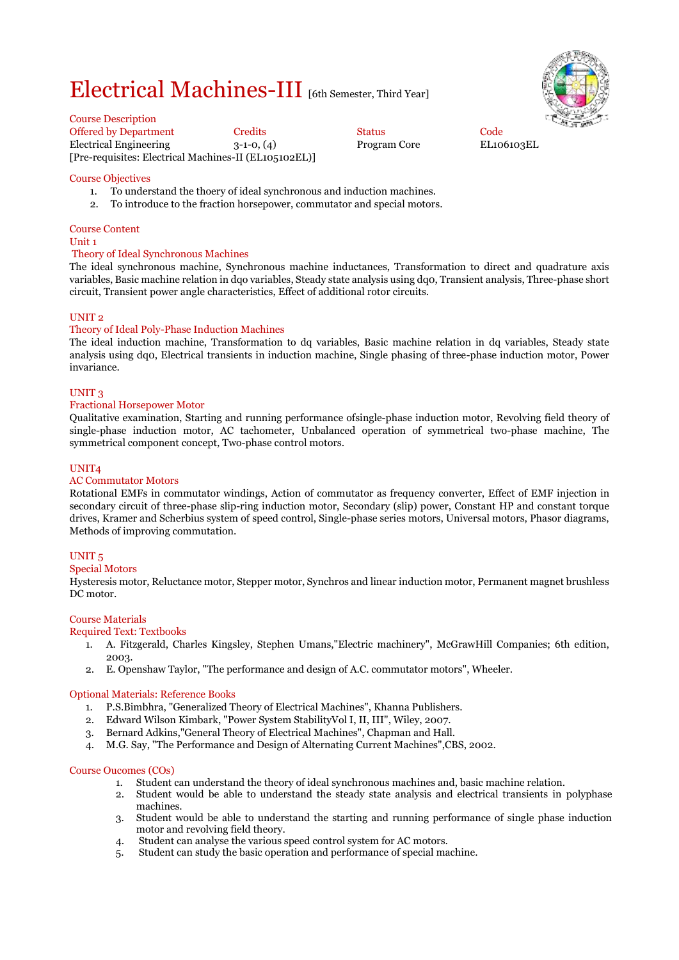## Electrical Machines-III [6th Semester, Third Year]



Course Description

Offered by Department Credits Code<br>
Electrical Engineering 3-1-0, (4) Program Core EL106103EL Electrical Engineering 3-1-0, (4) Program Core [Pre-requisites: Electrical Machines-II (EL105102EL)]

#### Course Objectives

- 1. To understand the thoery of ideal synchronous and induction machines.
- 2. To introduce to the fraction horsepower, commutator and special motors.

### Course Content

#### Unit 1

#### Theory of Ideal Synchronous Machines

The ideal synchronous machine, Synchronous machine inductances, Transformation to direct and quadrature axis variables, Basic machine relation in dqo variables, Steady state analysis using dq0, Transient analysis, Three-phase short circuit, Transient power angle characteristics, Effect of additional rotor circuits.

#### UNIT 2

#### Theory of Ideal Poly-Phase Induction Machines

The ideal induction machine, Transformation to dq variables, Basic machine relation in dq variables, Steady state analysis using dq0, Electrical transients in induction machine, Single phasing of three-phase induction motor, Power invariance.

#### UNIT 3

#### Fractional Horsepower Motor

Qualitative examination, Starting and running performance ofsingle-phase induction motor, Revolving field theory of single-phase induction motor, AC tachometer, Unbalanced operation of symmetrical two-phase machine, The symmetrical component concept, Two-phase control motors.

#### UNIT4

#### AC Commutator Motors

Rotational EMFs in commutator windings, Action of commutator as frequency converter, Effect of EMF injection in secondary circuit of three-phase slip-ring induction motor, Secondary (slip) power, Constant HP and constant torque drives, Kramer and Scherbius system of speed control, Single-phase series motors, Universal motors, Phasor diagrams, Methods of improving commutation.

#### UNIT 5

#### Special Motors

Hysteresis motor, Reluctance motor, Stepper motor, Synchros and linear induction motor, Permanent magnet brushless DC motor.

#### Course Materials

#### Required Text: Textbooks

- 1. A. Fitzgerald, Charles Kingsley, Stephen Umans,"Electric machinery", McGrawHill Companies; 6th edition, 2003.
- 2. E. Openshaw Taylor, "The performance and design of A.C. commutator motors", Wheeler.

#### Optional Materials: Reference Books

- 1. P.S.Bimbhra, "Generalized Theory of Electrical Machines", Khanna Publishers.
- 2. Edward Wilson Kimbark, "Power System StabilityVol I, II, III", Wiley, 2007.
- 3. Bernard Adkins,"General Theory of Electrical Machines", Chapman and Hall.
- 4. M.G. Say, "The Performance and Design of Alternating Current Machines",CBS, 2002.

#### Course Oucomes (COs)

- 1. Student can understand the theory of ideal synchronous machines and, basic machine relation.
- 2. Student would be able to understand the steady state analysis and electrical transients in polyphase machines.
- 3. Student would be able to understand the starting and running performance of single phase induction motor and revolving field theory.
- 4. Student can analyse the various speed control system for AC motors.
- 5. Student can study the basic operation and performance of special machine.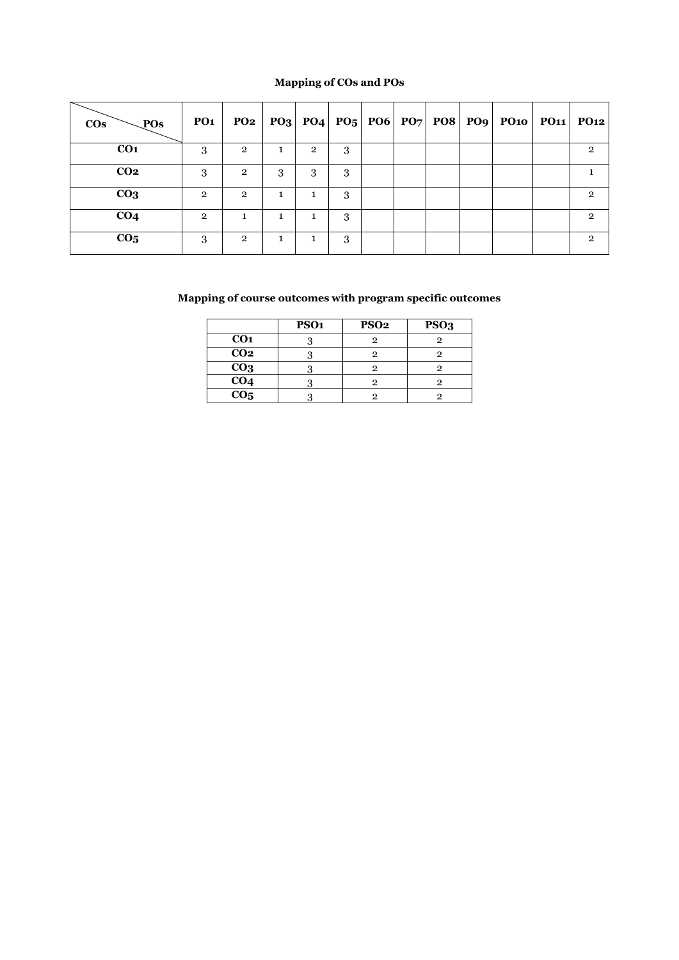### **Mapping of COs and POs**

| $\cos$<br>$\bigsetminus$ POs | <b>PO1</b>     |                |    |                |   |  |  | $PQ2   PQ3   PQ4   PQ5   PQ6   PQ7   PQ8   PQ9   PQ10   PQ11   PQ12$ |                |
|------------------------------|----------------|----------------|----|----------------|---|--|--|----------------------------------------------------------------------|----------------|
| CO <sub>1</sub>              | 3              | $\overline{2}$ |    | $\overline{2}$ | 3 |  |  |                                                                      | $\overline{2}$ |
| CO <sub>2</sub>              | 3              | $\overline{2}$ | 3  | 3              | 3 |  |  |                                                                      |                |
| CO <sub>3</sub>              | $\overline{2}$ | $\mathbf{2}$   | T. | 1              | 3 |  |  |                                                                      | $\mathfrak{p}$ |
| CO <sub>4</sub>              | $\overline{2}$ | 1              |    |                | 3 |  |  |                                                                      | $\overline{2}$ |
| CO <sub>5</sub>              | 3              | $\overline{2}$ |    |                | 3 |  |  |                                                                      | $\mathbf{2}$   |

|                   | PSO <sub>1</sub> | <b>PSO2</b> | PSO <sub>3</sub> |
|-------------------|------------------|-------------|------------------|
| CO <sub>1</sub>   |                  | 0           |                  |
| $\overline{CO2}$  |                  | 9           |                  |
| CO <sub>3</sub>   |                  | 2           |                  |
| CO <sub>4</sub>   |                  | 2           |                  |
| $\overline{CO_5}$ |                  | റ           |                  |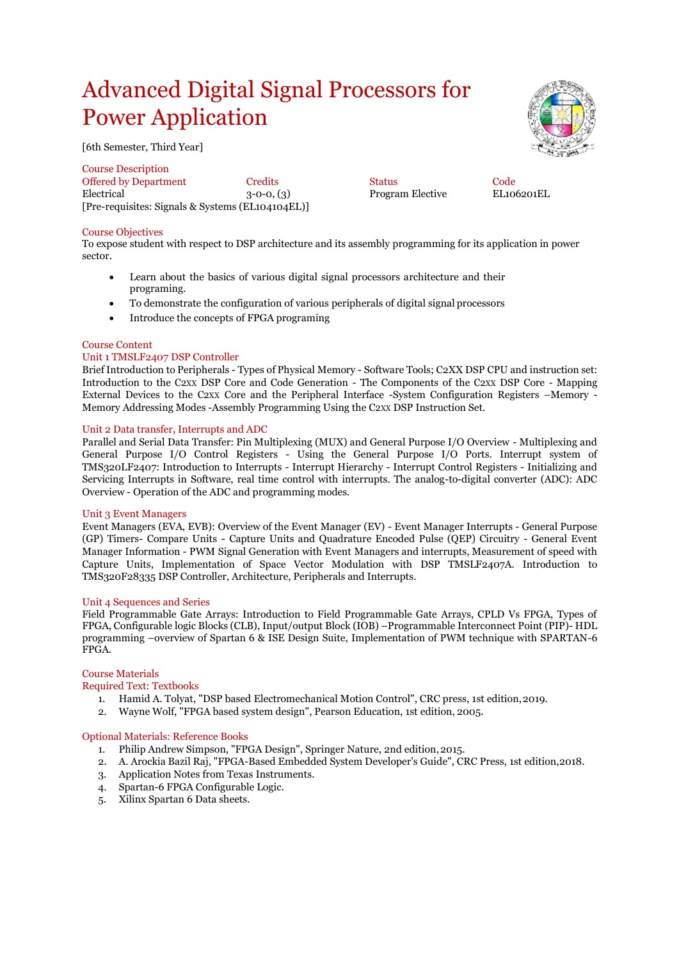## Advanced Digital Signal Processors for Power Application

[6th Semester, Third Year]

Course Description

Offered by Department Credits Status Code Electrical 3-0-0, (3) Program Elective [Pre-requisites: Signals & Systems (EL104104EL)]

#### Course Objectives

To expose student with respect to DSP architecture and its assembly programming for its application in power sector.

- Learn about the basics of various digital signal processors architecture and their programing.
- To demonstrate the configuration of various peripherals of digital signal processors
- Introduce the concepts of FPGA programing

#### Course Content

#### Unit 1 TMSLF2407 DSP Controller

Brief Introduction to Peripherals - Types of Physical Memory - Software Tools; C2XX DSP CPU and instruction set: Introduction to the C2XX DSP Core and Code Generation - The Components of the C2XX DSP Core - Mapping External Devices to the C2XX Core and the Peripheral Interface -System Configuration Registers –Memory - Memory Addressing Modes -Assembly Programming Using the C2XX DSP Instruction Set.

#### Unit 2 Data transfer, Interrupts and ADC

Parallel and Serial Data Transfer: Pin Multiplexing (MUX) and General Purpose I/O Overview - Multiplexing and General Purpose I/O Control Registers - Using the General Purpose I/O Ports. Interrupt system of TMS320LF2407: Introduction to Interrupts - Interrupt Hierarchy - Interrupt Control Registers - Initializing and Servicing Interrupts in Software, real time control with interrupts. The analog-to-digital converter (ADC): ADC Overview - Operation of the ADC and programming modes.

#### Unit 3 Event Managers

Event Managers (EVA, EVB): Overview of the Event Manager (EV) - Event Manager Interrupts - General Purpose (GP) Timers- Compare Units - Capture Units and Quadrature Encoded Pulse (QEP) Circuitry - General Event Manager Information - PWM Signal Generation with Event Managers and interrupts, Measurement of speed with Capture Units, Implementation of Space Vector Modulation with DSP TMSLF2407A. Introduction to TMS320F28335 DSP Controller, Architecture, Peripherals and Interrupts.

#### Unit 4 Sequences and Series

Field Programmable Gate Arrays: Introduction to Field Programmable Gate Arrays, CPLD Vs FPGA, Types of FPGA, Configurable logic Blocks (CLB), Input/output Block (IOB) –Programmable Interconnect Point (PIP)- HDL programming –overview of Spartan 6 & ISE Design Suite, Implementation of PWM technique with SPARTAN-6 FPGA.

#### Course Materials

#### Required Text: Textbooks

- 1. Hamid A. Tolyat, "DSP based Electromechanical Motion Control", CRC press, 1st edition,2019.
- 2. Wayne Wolf, "FPGA based system design", Pearson Education, 1st edition, 2005.

#### Optional Materials: Reference Books

- 1. Philip Andrew Simpson, "FPGA Design", Springer Nature, 2nd edition,2015.
- 2. A. Arockia Bazil Raj, "FPGA-Based Embedded System Developer's Guide", CRC Press, 1st edition,2018.
- 3. Application Notes from Texas Instruments.
- 4. Spartan-6 FPGA Configurable Logic.
- 5. Xilinx Spartan 6 Data sheets.

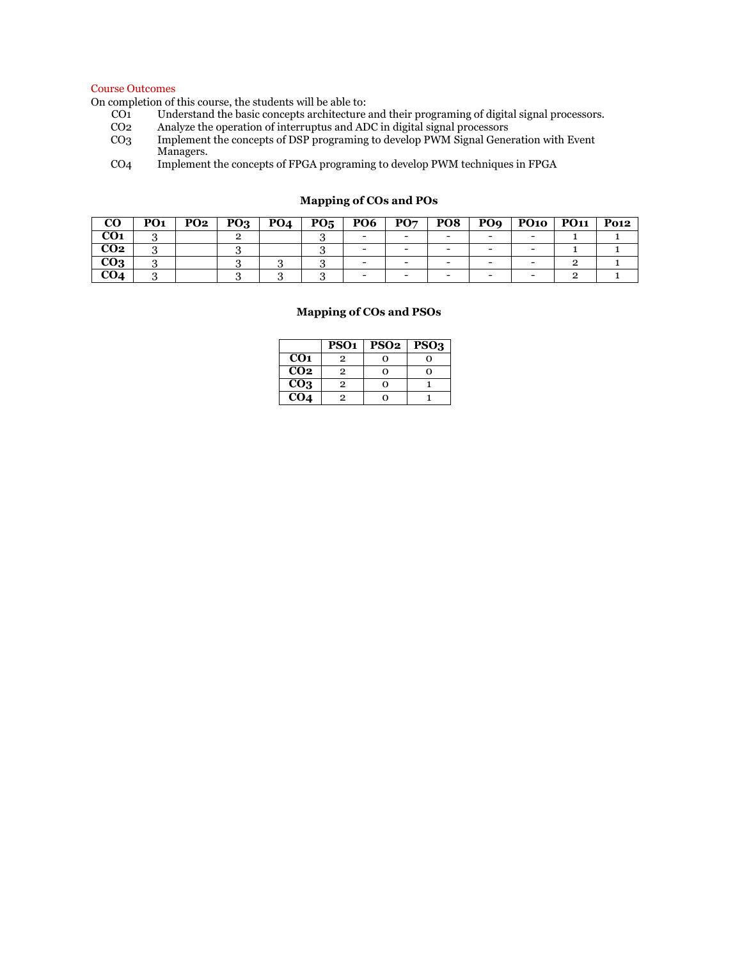#### Course Outcomes

On completion of this course, the students will be able to:

- CO1 Understand the basic concepts architecture and their programing of digital signal processors.
- CO<sub>2</sub> Analyze the operation of interruptus and ADC in digital signal processors<br>CO<sub>3</sub> Implement the concepts of DSP programing to develop PWM Signal Gene
- Implement the concepts of DSP programing to develop PWM Signal Generation with Event Managers.
- CO4 Implement the concepts of FPGA programing to develop PWM techniques in FPGA

| CO              | PO <sub>1</sub> | <b>PO2</b> | PQ <sub>3</sub> | <b>PO4</b> | $P_{05}$ | <b>PO6</b>               | PO7 | PO <sub>8</sub> | PO <sub>9</sub>          | <b>PO10</b> | <b>PO11</b> | <b>Po12</b> |
|-----------------|-----------------|------------|-----------------|------------|----------|--------------------------|-----|-----------------|--------------------------|-------------|-------------|-------------|
| CO <sub>1</sub> |                 |            |                 |            |          | $\overline{\phantom{0}}$ |     |                 | $\overline{\phantom{0}}$ |             |             |             |
| CO <sub>2</sub> |                 |            |                 |            |          |                          |     |                 | -                        |             |             |             |
| CO <sub>3</sub> |                 |            |                 |            |          |                          |     |                 |                          |             |             |             |
| CO4             |                 |            |                 |            |          | -                        |     |                 | -                        |             |             |             |

#### **Mapping of COs and POs**

|                   | PSO <sub>1</sub> | <b>PSO2</b> | PSO <sub>3</sub> |
|-------------------|------------------|-------------|------------------|
| CO <sub>1</sub>   | $\mathbf{p}$     | ი           |                  |
| CO <sub>2</sub>   | 2                | ∩           |                  |
| $\overline{CO_3}$ | 2                | ი           |                  |
| CO <sub>4</sub>   |                  |             |                  |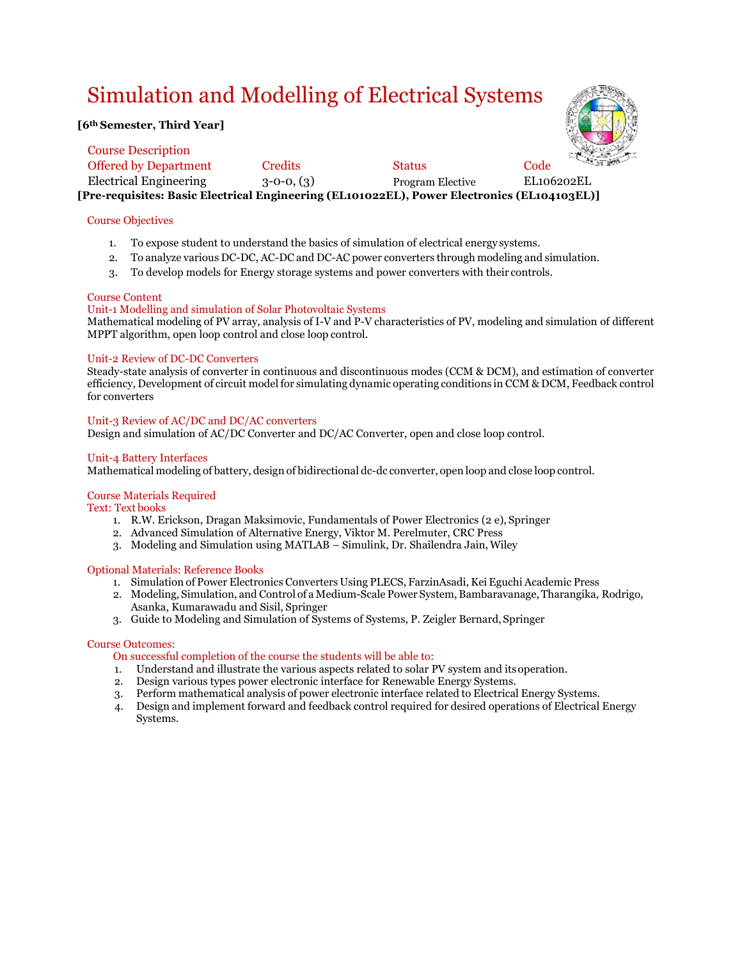## Simulation and Modelling of Electrical Systems

#### **[6th Semester, Third Year]**



| <b>Course Description</b>    |                |                                                                                             | <b>REAL</b> |
|------------------------------|----------------|---------------------------------------------------------------------------------------------|-------------|
| <b>Offered by Department</b> | <b>Credits</b> | <b>Status</b>                                                                               | Code        |
| Electrical Engineering       | $3-0-0, (3)$   | <b>Program Elective</b>                                                                     | EL106202EL  |
|                              |                | [Pre-requisites: Basic Electrical Engineering (EL101022EL), Power Electronics (EL104103EL)] |             |

#### Course Objectives

- 1. To expose student to understand the basics of simulation of electrical energy systems.
- 2. To analyze various DC-DC, AC-DC and DC-AC power converters through modeling and simulation.
- 3. To develop models for Energy storage systems and power converters with their controls.

#### Course Content

#### Unit-1 Modelling and simulation of Solar Photovoltaic Systems

Mathematical modeling of PV array, analysis of I-V and P-V characteristics of PV, modeling and simulation of different MPPT algorithm, open loop control and close loop control.

#### Unit-2 Review of DC-DC Converters

Steady-state analysis of converter in continuous and discontinuous modes (CCM & DCM), and estimation of converter efficiency, Development of circuit model for simulating dynamic operating conditions in CCM & DCM, Feedback control for converters

#### Unit-3 Review of AC/DC and DC/AC converters

Design and simulation of AC/DC Converter and DC/AC Converter, open and close loop control.

#### Unit-4 Battery Interfaces

Mathematical modeling of battery, design of bidirectional dc-dc converter, open loop and close loop control.

#### Course Materials Required

Text: Text books

- 1. R.W. Erickson, Dragan Maksimovic, Fundamentals of Power Electronics (2 e), Springer
- 2. Advanced Simulation of Alternative Energy, Viktor M. Perelmuter, CRC Press
- 3. Modeling and Simulation using MATLAB Simulink, Dr. Shailendra Jain, Wiley

#### Optional Materials: Reference Books

- 1. Simulation of Power Electronics Converters Using PLECS, FarzinAsadi, Kei Eguchi Academic Press
- 2. Modeling, Simulation, and Control of a Medium-Scale Power System,Bambaravanage, Tharangika, Rodrigo, Asanka, Kumarawadu and Sisil, Springer
- 3. Guide to Modeling and Simulation of Systems of Systems, P. Zeigler Bernard, Springer

#### Course Outcomes:

- On successful completion of the course the students will be able to:
- 1. Understand and illustrate the various aspects related to solar PV system and itsoperation.
- 2. Design various types power electronic interface for Renewable Energy Systems.
- 3. Perform mathematical analysis of power electronic interface related to Electrical Energy Systems.
- 4. Design and implement forward and feedback control required for desired operations of Electrical Energy Systems.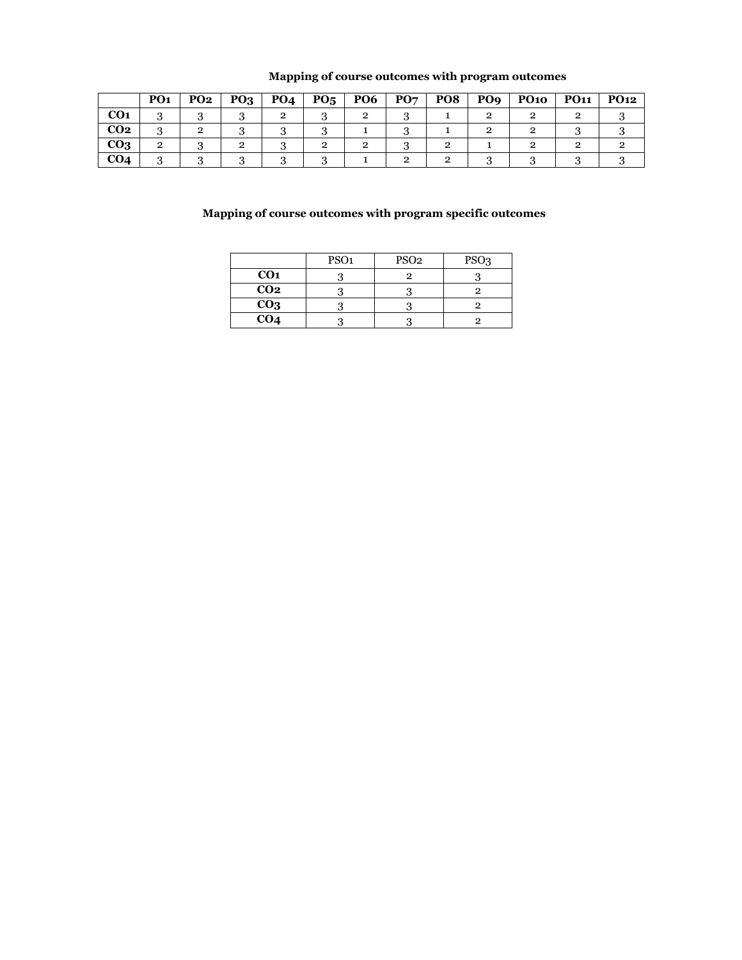|                 | PO <sub>1</sub> | PO <sub>2</sub> | PO <sub>3</sub> | PO <sub>4</sub> | $P_{05}$ | PO <sub>6</sub> | PO7 | PO <sub>8</sub> | PO <sub>9</sub> | <b>PO10</b> | <b>PO11</b> | PO <sub>12</sub> |
|-----------------|-----------------|-----------------|-----------------|-----------------|----------|-----------------|-----|-----------------|-----------------|-------------|-------------|------------------|
| CO <sub>1</sub> | . .             |                 |                 |                 |          | ີ               |     |                 |                 |             |             |                  |
| CO <sub>2</sub> |                 |                 |                 |                 |          |                 |     |                 |                 |             |             |                  |
| CO <sub>3</sub> |                 |                 |                 |                 |          |                 |     |                 |                 |             |             |                  |
| CO4             |                 |                 |                 |                 |          |                 |     |                 |                 |             |             |                  |

### **Mapping of course outcomes with program outcomes**

|                 | PSO <sub>1</sub> | PSO <sub>2</sub> | PSO <sub>3</sub> |
|-----------------|------------------|------------------|------------------|
| CO <sub>1</sub> |                  |                  |                  |
| CO <sub>2</sub> |                  |                  |                  |
| CO <sub>3</sub> |                  |                  |                  |
| CO <sub>4</sub> |                  |                  |                  |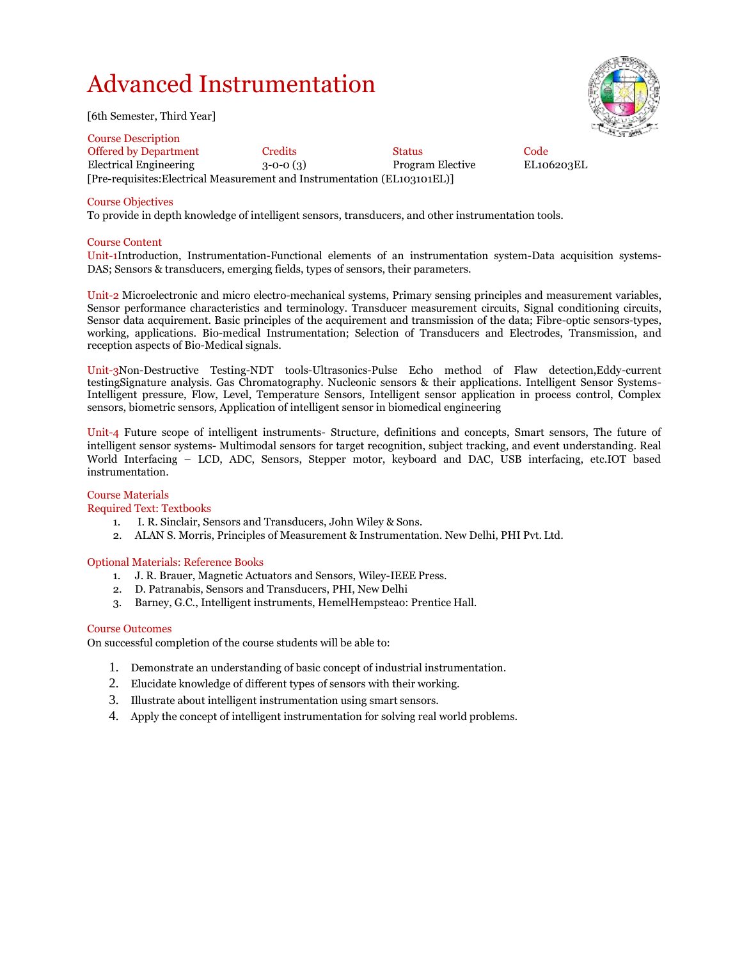## Advanced Instrumentation

[6th Semester, Third Year]

Course Description Offered by Department Credits Status Code Electrical Engineering 3-0-0 (3) Program Elective EL106203EL [Pre-requisites:Electrical Measurement and Instrumentation (EL103101EL)]

#### Course Objectives

To provide in depth knowledge of intelligent sensors, transducers, and other instrumentation tools.

#### Course Content

Unit-1Introduction, Instrumentation-Functional elements of an instrumentation system-Data acquisition systems-DAS; Sensors & transducers, emerging fields, types of sensors, their parameters.

Unit-2 Microelectronic and micro electro-mechanical systems, Primary sensing principles and measurement variables, Sensor performance characteristics and terminology. Transducer measurement circuits, Signal conditioning circuits, Sensor data acquirement. Basic principles of the acquirement and transmission of the data; Fibre-optic sensors-types, working, applications. Bio-medical Instrumentation; Selection of Transducers and Electrodes, Transmission, and reception aspects of Bio-Medical signals.

Unit-3Non-Destructive Testing-NDT tools-Ultrasonics-Pulse Echo method of Flaw detection,Eddy-current testingSignature analysis. Gas Chromatography. Nucleonic sensors & their applications. Intelligent Sensor Systems-Intelligent pressure, Flow, Level, Temperature Sensors, Intelligent sensor application in process control, Complex sensors, biometric sensors, Application of intelligent sensor in biomedical engineering

Unit-4 Future scope of intelligent instruments- Structure, definitions and concepts, Smart sensors, The future of intelligent sensor systems- Multimodal sensors for target recognition, subject tracking, and event understanding. Real World Interfacing – LCD, ADC, Sensors, Stepper motor, keyboard and DAC, USB interfacing, etc.IOT based instrumentation.

#### Course Materials

#### Required Text: Textbooks

- 1. I. R. Sinclair, Sensors and Transducers, John Wiley & Sons.
- 2. ALAN S. Morris, Principles of Measurement & Instrumentation. New Delhi, PHI Pvt. Ltd.

#### Optional Materials: Reference Books

- 1. J. R. Brauer, Magnetic Actuators and Sensors, Wiley-IEEE Press.
- 2. D. Patranabis, Sensors and Transducers, PHI, New Delhi
- 3. Barney, G.C., Intelligent instruments, HemelHempsteao: Prentice Hall.

#### Course Outcomes

On successful completion of the course students will be able to:

- 1. Demonstrate an understanding of basic concept of industrial instrumentation.
- 2. Elucidate knowledge of different types of sensors with their working.
- 3. Illustrate about intelligent instrumentation using smart sensors.
- 4. Apply the concept of intelligent instrumentation for solving real world problems.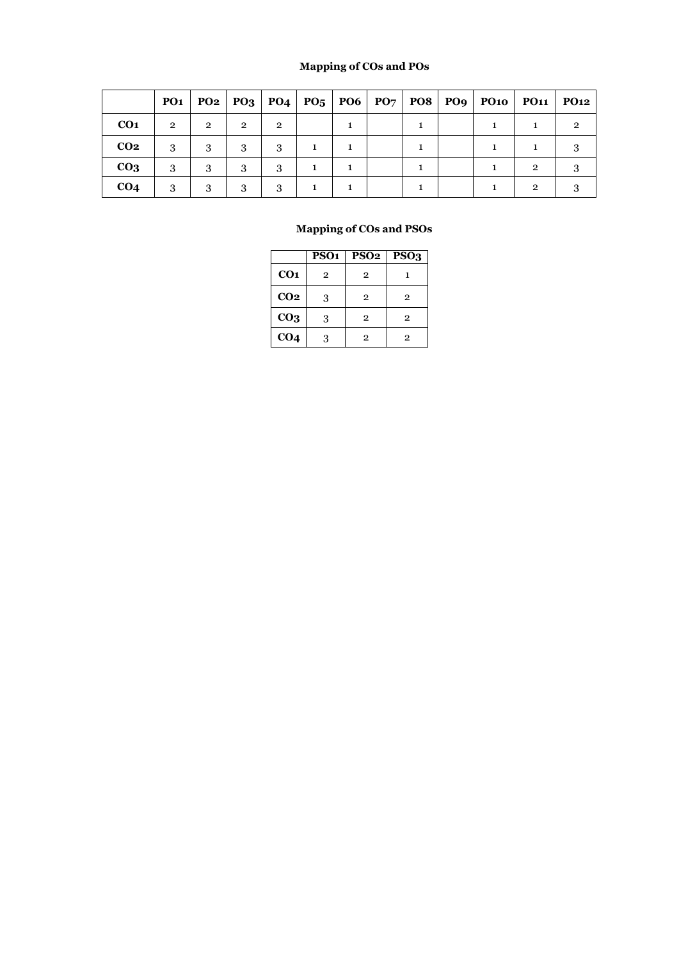### **Mapping of COs and POs**

|                 | <b>PO1</b>     |                | $PO2$ $PO3$    |                |  |  |  | PO4   PO5   PO6   PO7   PO8   PO9   PO10   PO11 | <b>PO12</b> |
|-----------------|----------------|----------------|----------------|----------------|--|--|--|-------------------------------------------------|-------------|
| CO <sub>1</sub> | $\overline{2}$ | $\overline{2}$ | $\overline{2}$ | $\overline{2}$ |  |  |  |                                                 |             |
| CO <sub>2</sub> | 3              | 3              | 3              | 3              |  |  |  |                                                 |             |
| CO <sub>3</sub> | 3              | 3              | 3              | 3              |  |  |  | $\overline{2}$                                  |             |
| CO <sub>4</sub> | 3              | 3              | 3              | 3              |  |  |  | $\mathfrak{D}$                                  |             |

|                 | PSO <sub>1</sub> | PSO <sub>2</sub> | PSO <sub>3</sub> |
|-----------------|------------------|------------------|------------------|
| CO <sub>1</sub> | $\overline{2}$   | $\overline{2}$   |                  |
| CO <sub>2</sub> | 3                | $\overline{2}$   | $\overline{2}$   |
| CO <sub>3</sub> | 3                | $\overline{2}$   | $\overline{2}$   |
| CO <sub>4</sub> | 3                | 2                | $\overline{2}$   |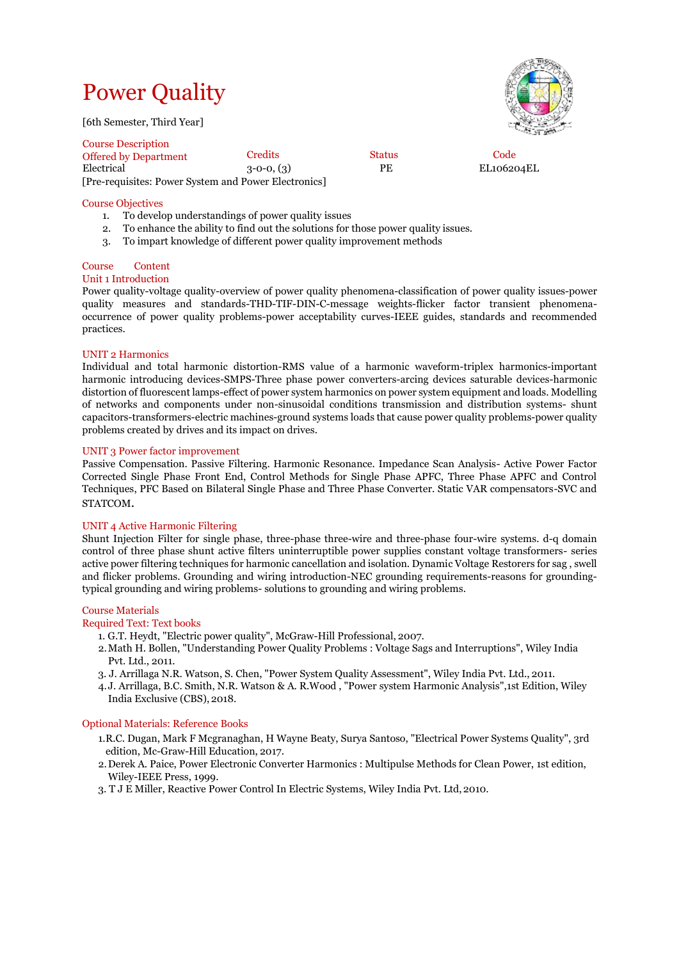# Power Quality

[6th Semester, Third Year]



Course Description Offered by Department Credits Status Code 3-0-0, (3) PE EL106204EL [Pre-requisites: Power System and Power Electronics]

#### Course Objectives

- 1. To develop understandings of power quality issues
- 2. To enhance the ability to find out the solutions for those power quality issues.
- 3. To impart knowledge of different power quality improvement methods

#### Course Content

#### Unit 1 Introduction

Power quality-voltage quality-overview of power quality phenomena-classification of power quality issues-power quality measures and standards-THD-TIF-DIN-C-message weights-flicker factor transient phenomenaoccurrence of power quality problems-power acceptability curves-IEEE guides, standards and recommended practices.

#### UNIT 2 Harmonics

Individual and total harmonic distortion-RMS value of a harmonic waveform-triplex harmonics-important harmonic introducing devices-SMPS-Three phase power converters-arcing devices saturable devices-harmonic distortion of fluorescent lamps-effect of power system harmonics on power system equipment and loads. Modelling of networks and components under non-sinusoidal conditions transmission and distribution systems- shunt capacitors-transformers-electric machines-ground systems loads that cause power quality problems-power quality problems created by drives and its impact on drives.

#### UNIT 3 Power factor improvement

Passive Compensation. Passive Filtering. Harmonic Resonance. Impedance Scan Analysis- Active Power Factor Corrected Single Phase Front End, Control Methods for Single Phase APFC, Three Phase APFC and Control Techniques, PFC Based on Bilateral Single Phase and Three Phase Converter. Static VAR compensators-SVC and STATCOM.

#### UNIT 4 Active Harmonic Filtering

Shunt Injection Filter for single phase, three-phase three-wire and three-phase four-wire systems. d-q domain control of three phase shunt active filters uninterruptible power supplies constant voltage transformers- series active power filtering techniques for harmonic cancellation and isolation. Dynamic Voltage Restorers for sag , swell and flicker problems. Grounding and wiring introduction-NEC grounding requirements-reasons for groundingtypical grounding and wiring problems- solutions to grounding and wiring problems.

#### Course Materials

#### Required Text: Text books

- 1. G.T. Heydt, "Electric power quality", McGraw-Hill Professional, 2007.
- 2.Math H. Bollen, "Understanding Power Quality Problems : Voltage Sags and Interruptions", Wiley India Pvt. Ltd., 2011.
- 3. J. Arrillaga N.R. Watson, S. Chen, "Power System Quality Assessment", Wiley India Pvt. Ltd., 2011.
- 4. J. Arrillaga, B.C. Smith, N.R. Watson & A. R.Wood , "Power system Harmonic Analysis",1st Edition, Wiley India Exclusive (CBS), 2018.

#### Optional Materials: Reference Books

- 1.R.C. Dugan, Mark F Mcgranaghan, H Wayne Beaty, Surya Santoso, "Electrical Power Systems Quality", 3rd edition, Mc-Graw-Hill Education, 2017.
- 2.Derek A. Paice, Power Electronic Converter Harmonics : Multipulse Methods for Clean Power, 1st edition, Wiley-IEEE Press, 1999.
- 3. T J E Miller, Reactive Power Control In Electric Systems, Wiley India Pvt. Ltd,2010.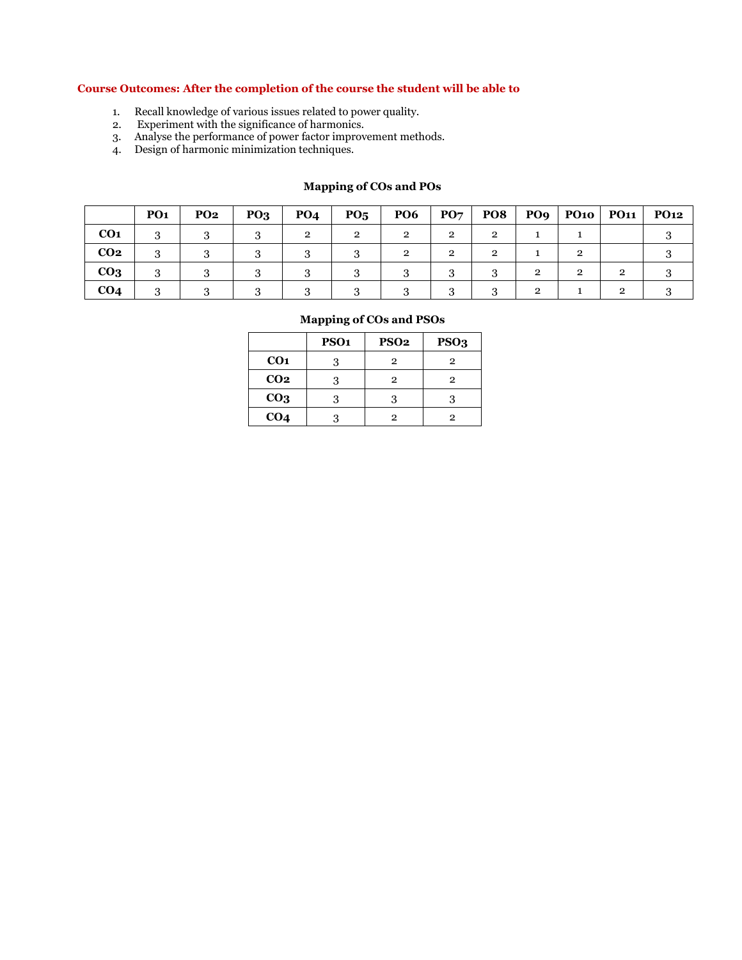#### **Course Outcomes: After the completion of the course the student will be able to**

- 1. Recall knowledge of various issues related to power quality.
- 2. Experiment with the significance of harmonics.
- 3. Analyse the performance of power factor improvement methods.
- 4. Design of harmonic minimization techniques.

#### **Mapping of COs and POs**

|                 | PO <sub>1</sub> | <b>PO2</b> | PQ <sub>3</sub> | <b>PO4</b> | $P_{05}$ | <b>PO6</b> | $\mathbf{P}\mathbf{O}\mathbf{7}$ | <b>PO8</b>     | <b>PO9</b>     |   | $P010$ PO11 | <b>PO12</b> |
|-----------------|-----------------|------------|-----------------|------------|----------|------------|----------------------------------|----------------|----------------|---|-------------|-------------|
| CO <sub>1</sub> |                 |            |                 | $\Omega$   | റ        | $\Omega$   | $\mathcal{P}$                    | 2              |                |   |             |             |
| CO <sub>2</sub> |                 |            |                 |            |          | റ          | റ                                | $\overline{2}$ |                | റ |             |             |
| CO <sub>3</sub> |                 |            |                 |            |          |            | ີ                                | ົ              | $\mathfrak{D}$ | 2 | ົ           |             |
| CO <sub>4</sub> |                 |            |                 |            |          |            | $\Omega$                         | 2              | $\mathbf{2}$   |   | ົ           |             |

|                 | PSO <sub>1</sub> | PSO <sub>2</sub> | PSO <sub>3</sub> |
|-----------------|------------------|------------------|------------------|
| CO <sub>1</sub> | 3                | $\overline{2}$   | 2                |
| CO <sub>2</sub> | 3                | 2                | $\overline{2}$   |
| CO <sub>3</sub> | 3                |                  | 3                |
| CO <sub>4</sub> |                  | 2                | 2                |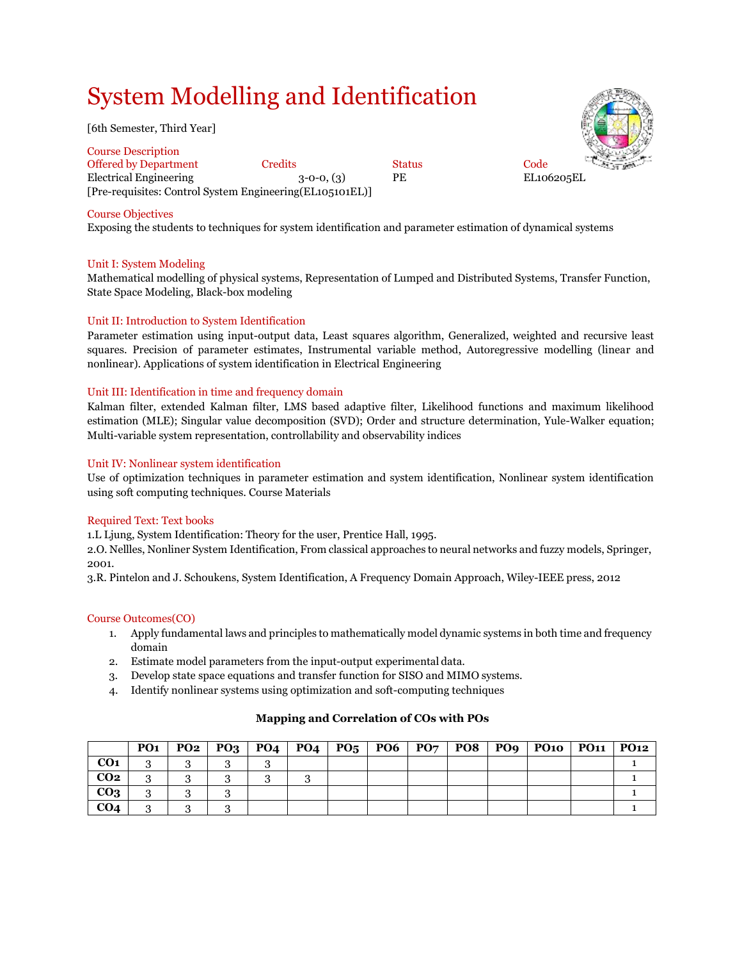## System Modelling and Identification

[6th Semester, Third Year]

Course Description Offered by Department Credits Status Code Electrical Engineering 3-0-0, (3) PE EL106205EL [Pre-requisites: Control System Engineering(EL105101EL)]



#### Course Objectives

Exposing the students to techniques for system identification and parameter estimation of dynamical systems

#### Unit I: System Modeling

Mathematical modelling of physical systems, Representation of Lumped and Distributed Systems, Transfer Function, State Space Modeling, Black-box modeling

#### Unit II: Introduction to System Identification

Parameter estimation using input-output data, Least squares algorithm, Generalized, weighted and recursive least squares. Precision of parameter estimates, Instrumental variable method, Autoregressive modelling (linear and nonlinear). Applications of system identification in Electrical Engineering

#### Unit III: Identification in time and frequency domain

Kalman filter, extended Kalman filter, LMS based adaptive filter, Likelihood functions and maximum likelihood estimation (MLE); Singular value decomposition (SVD); Order and structure determination, Yule-Walker equation; Multi-variable system representation, controllability and observability indices

#### Unit IV: Nonlinear system identification

Use of optimization techniques in parameter estimation and system identification, Nonlinear system identification using soft computing techniques. Course Materials

#### Required Text: Text books

1.L Ljung, System Identification: Theory for the user, Prentice Hall, 1995.

2.O. Nellles, Nonliner System Identification, From classical approaches to neural networks and fuzzy models, Springer, 2001.

3.R. Pintelon and J. Schoukens, System Identification, A Frequency Domain Approach, Wiley-IEEE press, 2012

#### Course Outcomes(CO)

- 1. Apply fundamental laws and principles to mathematically model dynamic systems in both time and frequency domain
- 2. Estimate model parameters from the input-output experimental data.
- 3. Develop state space equations and transfer function for SISO and MIMO systems.
- 4. Identify nonlinear systems using optimization and soft-computing techniques

#### **Mapping and Correlation of COs with POs**

|                 | PO1 |  |  |  |  | $PO2   PO3   PO4   PO4   PO5   PO6   PO7   PO8   PO9   PO10   PO11   PO12$ |  |
|-----------------|-----|--|--|--|--|----------------------------------------------------------------------------|--|
| CO <sub>1</sub> |     |  |  |  |  |                                                                            |  |
| CO <sub>2</sub> | o   |  |  |  |  |                                                                            |  |
| CO <sub>3</sub> |     |  |  |  |  |                                                                            |  |
| CO <sub>4</sub> | ົ   |  |  |  |  |                                                                            |  |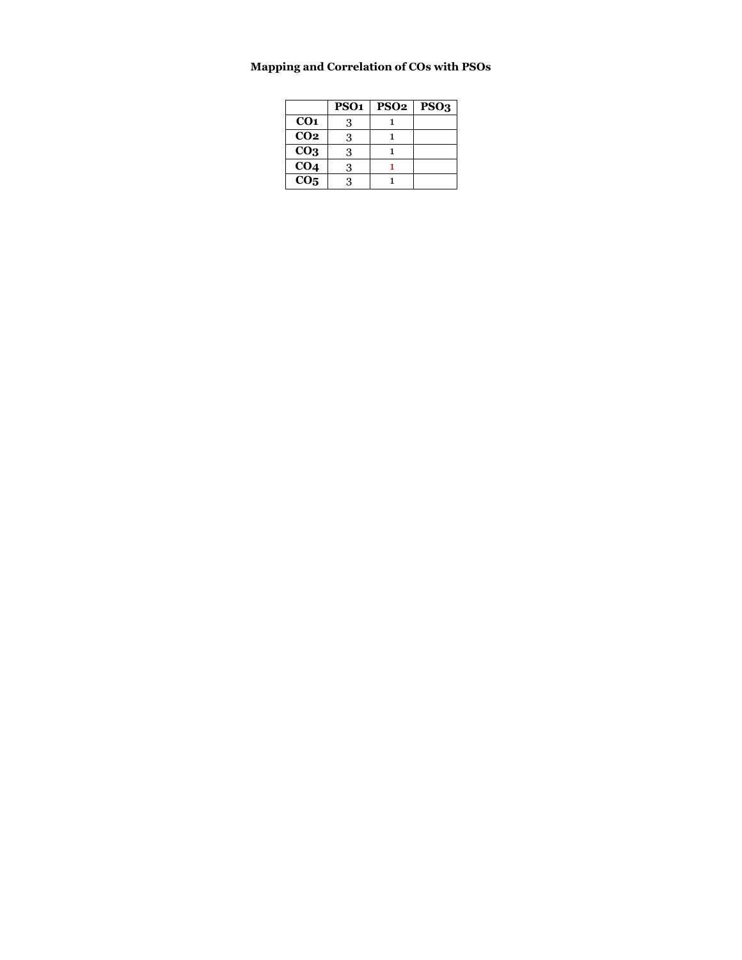### **Mapping and Correlation of COs with PSOs**

|                 | PSO <sub>1</sub> | PSO <sub>2</sub> | PSO <sub>3</sub> |
|-----------------|------------------|------------------|------------------|
| CO <sub>1</sub> | 3                |                  |                  |
| CO <sub>2</sub> | 3                |                  |                  |
| CO <sub>3</sub> | 3                |                  |                  |
| CO <sub>4</sub> | 3                |                  |                  |
| CO <sub>5</sub> | ર                |                  |                  |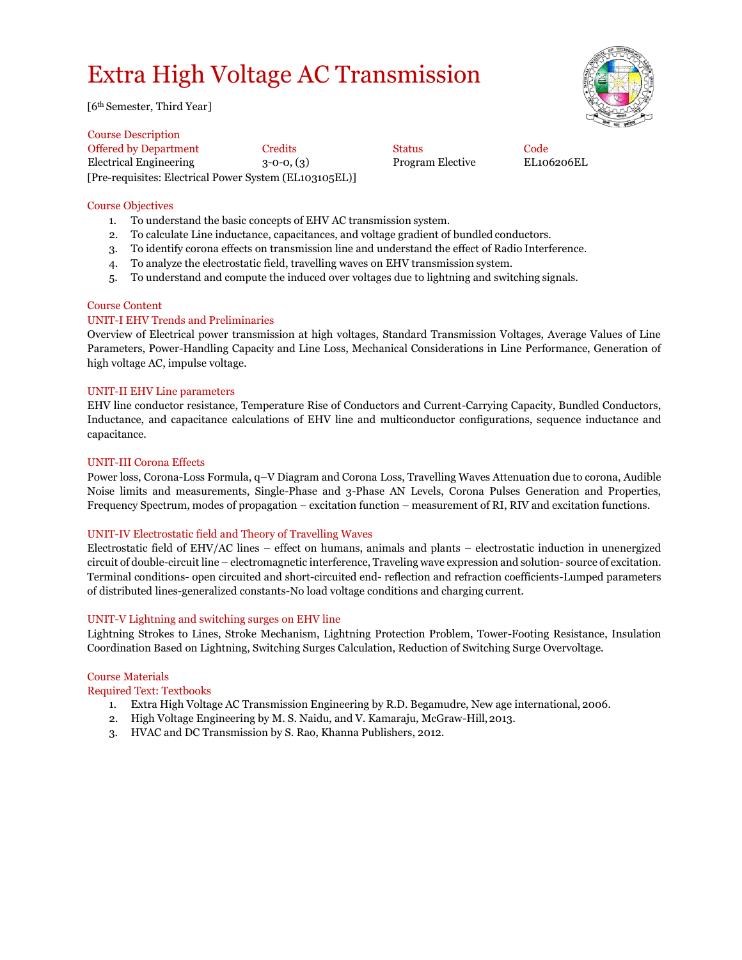## Extra High Voltage AC Transmission

[6th Semester, Third Year]

Course Description Offered by Department Credits Status Code Electrical Engineering 3-0-0, (3) Program Elective EL106206EL [Pre-requisites: Electrical Power System (EL103105EL)]

#### Course Objectives

- 1. To understand the basic concepts of EHV AC transmission system.
- 2. To calculate Line inductance, capacitances, and voltage gradient of bundled conductors.
- 3. To identify corona effects on transmission line and understand the effect of Radio Interference.
- 4. To analyze the electrostatic field, travelling waves on EHV transmission system.
- 5. To understand and compute the induced over voltages due to lightning and switching signals.

#### Course Content

#### UNIT-I EHV Trends and Preliminaries

Overview of Electrical power transmission at high voltages, Standard Transmission Voltages, Average Values of Line Parameters, Power-Handling Capacity and Line Loss, Mechanical Considerations in Line Performance, Generation of high voltage AC, impulse voltage.

#### UNIT-II EHV Line parameters

EHV line conductor resistance, Temperature Rise of Conductors and Current-Carrying Capacity, Bundled Conductors, Inductance, and capacitance calculations of EHV line and multiconductor configurations, sequence inductance and capacitance.

#### UNIT-III Corona Effects

Power loss, Corona-Loss Formula, q–V Diagram and Corona Loss, Travelling Waves Attenuation due to corona, Audible Noise limits and measurements, Single-Phase and 3-Phase AN Levels, Corona Pulses Generation and Properties, Frequency Spectrum, modes of propagation – excitation function – measurement of RI, RIV and excitation functions.

#### UNIT-IV Electrostatic field and Theory of Travelling Waves

Electrostatic field of EHV/AC lines – effect on humans, animals and plants – electrostatic induction in unenergized circuit of double-circuit line – electromagnetic interference, Traveling wave expression and solution- source of excitation. Terminal conditions- open circuited and short-circuited end- reflection and refraction coefficients-Lumped parameters of distributed lines-generalized constants-No load voltage conditions and charging current.

#### UNIT-V Lightning and switching surges on EHV line

Lightning Strokes to Lines, Stroke Mechanism, Lightning Protection Problem, Tower-Footing Resistance, Insulation Coordination Based on Lightning, Switching Surges Calculation, Reduction of Switching Surge Overvoltage.

#### Course Materials

Required Text: Textbooks

- 1. Extra High Voltage AC Transmission Engineering by R.D. Begamudre, New age international, 2006.
- 2. High Voltage Engineering by M. S. Naidu, and V. Kamaraju, McGraw-Hill,2013.
- 3. HVAC and DC Transmission by S. Rao, Khanna Publishers, 2012.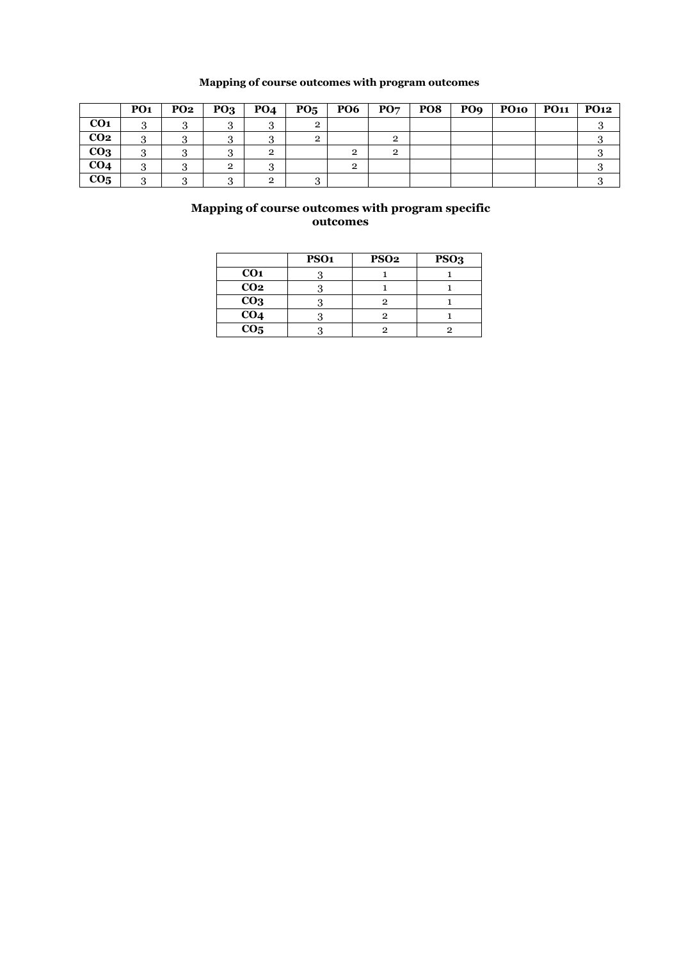### **Mapping of course outcomes with program outcomes**

|                 | PO <sub>1</sub> | <b>PO2</b> | PO <sub>3</sub> | <b>PO4</b> | PO <sub>5</sub> | <b>PO6</b>   | PO <sub>7</sub> | <b>PO8</b> | PO <sub>9</sub> | $\bf{PO1O}$ | <b>PO11</b> | <b>PO12</b> |
|-----------------|-----------------|------------|-----------------|------------|-----------------|--------------|-----------------|------------|-----------------|-------------|-------------|-------------|
| CO <sub>1</sub> |                 |            |                 |            |                 |              |                 |            |                 |             |             |             |
| CO <sub>2</sub> |                 |            | .,              |            |                 |              |                 |            |                 |             |             |             |
| CO <sub>3</sub> |                 |            |                 | ົ          |                 | $\mathbf{2}$ | 2               |            |                 |             |             |             |
| CO <sub>4</sub> | $\cdot$         |            | $\overline{2}$  |            |                 | $\mathbf{2}$ |                 |            |                 |             |             |             |
| CO <sub>5</sub> |                 |            |                 | റ          |                 |              |                 |            |                 |             |             |             |

|                 | PSO <sub>1</sub> | PSO <sub>2</sub> | PSO <sub>3</sub> |
|-----------------|------------------|------------------|------------------|
| CO <sub>1</sub> |                  |                  |                  |
| CO <sub>2</sub> |                  |                  |                  |
| CO <sub>3</sub> |                  |                  |                  |
| CO <sub>4</sub> |                  |                  |                  |
| CO <sub>5</sub> |                  |                  |                  |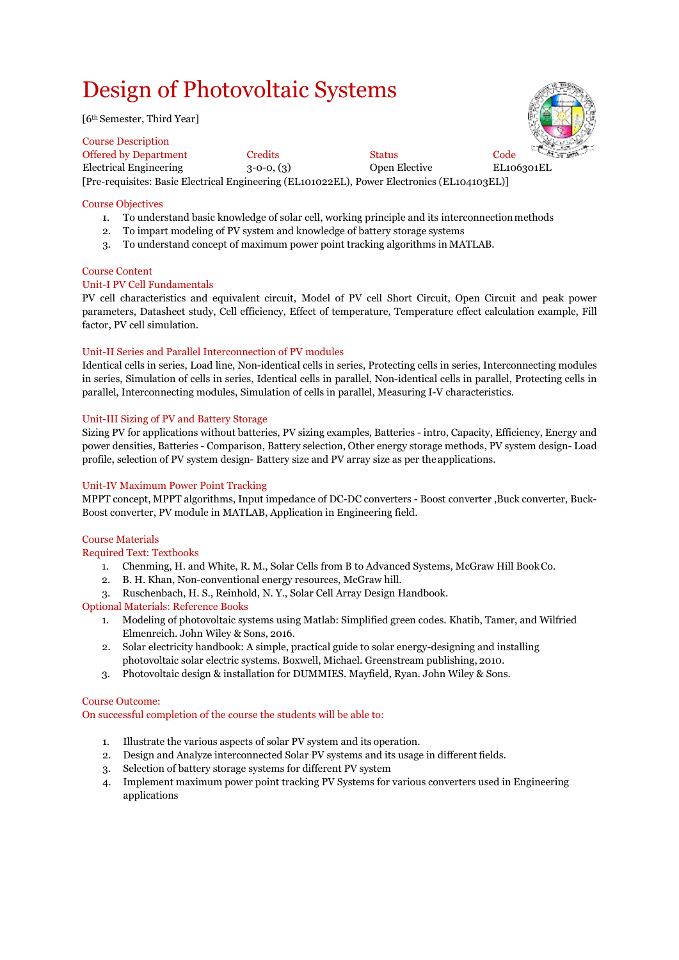## Design of Photovoltaic Systems

[6th Semester, Third Year]

Course Description Offered by Department Credits Status Code<br>
Electrical Engineering 3-0-0, (3) Open Elective EL10 Electrical Engineering 3-0-0, (3) Open Elective EL106301EL [Pre-requisites: Basic Electrical Engineering (EL101022EL), Power Electronics (EL104103EL)]

#### Course Objectives

- 1. To understand basic knowledge of solar cell, working principle and its interconnectionmethods
- 2. To impart modeling of PV system and knowledge of battery storage systems
- 3. To understand concept of maximum power point tracking algorithms in MATLAB.

#### Course Content

#### Unit-I PV Cell Fundamentals

[PV cell characteristics and equivalent circuit,](https://onlinecourses.nptel.ac.in/noc20_ee57/unit?unit=18&lesson=21) [Model of PV cell](https://onlinecourses.nptel.ac.in/noc20_ee57/unit?unit=18&lesson=22) [Short Circuit, Open Circuit and peak power](https://onlinecourses.nptel.ac.in/noc20_ee57/unit?unit=18&lesson=23) [parameters,](https://onlinecourses.nptel.ac.in/noc20_ee57/unit?unit=18&lesson=23) [Datasheet study,](https://onlinecourses.nptel.ac.in/noc20_ee57/unit?unit=18&lesson=24) [Cell efficiency,](https://onlinecourses.nptel.ac.in/noc20_ee57/unit?unit=18&lesson=25) [Effect of temperature,](https://onlinecourses.nptel.ac.in/noc20_ee57/unit?unit=18&lesson=26) [Temperature effect calculation example,](https://onlinecourses.nptel.ac.in/noc20_ee57/unit?unit=18&lesson=27) [Fill](https://onlinecourses.nptel.ac.in/noc20_ee57/unit?unit=18&lesson=28) [factor,](https://onlinecourses.nptel.ac.in/noc20_ee57/unit?unit=18&lesson=28) [PV cell simulation.](https://onlinecourses.nptel.ac.in/noc20_ee57/unit?unit=18&lesson=29)

#### Unit-II Series and Parallel Interconnection of PV modules

[Identical cells in series,](https://onlinecourses.nptel.ac.in/noc20_ee57/unit?unit=34&lesson=35) [Load line,](https://onlinecourses.nptel.ac.in/noc20_ee57/unit?unit=34&lesson=36) [Non-identical cells in series,](https://onlinecourses.nptel.ac.in/noc20_ee57/unit?unit=34&lesson=37) [Protecting cells in series,](https://onlinecourses.nptel.ac.in/noc20_ee57/unit?unit=34&lesson=38) [Interconnecting modules](https://onlinecourses.nptel.ac.in/noc20_ee57/unit?unit=34&lesson=39) [in series,](https://onlinecourses.nptel.ac.in/noc20_ee57/unit?unit=34&lesson=39) [Simulation of cells in series,](https://onlinecourses.nptel.ac.in/noc20_ee57/unit?unit=34&lesson=40) [Identical cells in parallel,](https://onlinecourses.nptel.ac.in/noc20_ee57/unit?unit=34&lesson=41) [Non-identical cells in parallel,](https://onlinecourses.nptel.ac.in/noc20_ee57/unit?unit=34&lesson=42) [Protecting cells in](https://onlinecourses.nptel.ac.in/noc20_ee57/unit?unit=34&lesson=43) [parallel,](https://onlinecourses.nptel.ac.in/noc20_ee57/unit?unit=34&lesson=43) [Interconnecting modules,](https://onlinecourses.nptel.ac.in/noc20_ee57/unit?unit=34&lesson=44) [Simulation of cells in parallel,](https://onlinecourses.nptel.ac.in/noc20_ee57/unit?unit=34&lesson=45) [Measuring I-V characteristics.](https://onlinecourses.nptel.ac.in/noc20_ee57/unit?unit=34&lesson=46)

#### Unit-III Sizing of PV and Battery Storage

[Sizing PV for applications without batteries,](https://onlinecourses.nptel.ac.in/noc20_ee57/unit?unit=66&lesson=67) [PV sizing examples,](https://onlinecourses.nptel.ac.in/noc20_ee57/unit?unit=66&lesson=68) [Batteries -](https://onlinecourses.nptel.ac.in/noc20_ee57/unit?unit=66&lesson=69) intro[, Capacity,](https://onlinecourses.nptel.ac.in/noc20_ee57/unit?unit=66&lesson=70) [Efficiency,](https://onlinecourses.nptel.ac.in/noc20_ee57/unit?unit=66&lesson=73) [Energy](https://onlinecourses.nptel.ac.in/noc20_ee57/unit?unit=66&lesson=74) [and](https://onlinecourses.nptel.ac.in/noc20_ee57/unit?unit=66&lesson=74)  [power densities, B](https://onlinecourses.nptel.ac.in/noc20_ee57/unit?unit=66&lesson=74)atteries - [Comparison,](https://onlinecourses.nptel.ac.in/noc20_ee57/unit?unit=66&lesson=71) [Battery selection,](https://onlinecourses.nptel.ac.in/noc20_ee57/unit?unit=66&lesson=75) [Other energy storage methods,](https://onlinecourses.nptel.ac.in/noc20_ee57/unit?unit=66&lesson=76) [PV system design-](https://onlinecourses.nptel.ac.in/noc20_ee57/unit?unit=66&lesson=77) [Load](https://onlinecourses.nptel.ac.in/noc20_ee57/unit?unit=66&lesson=77)  [profile, s](https://onlinecourses.nptel.ac.in/noc20_ee57/unit?unit=66&lesson=77)election of [PV system design-](https://onlinecourses.nptel.ac.in/noc20_ee57/unit?unit=66&lesson=79) Battery size an[d PV array size a](https://onlinecourses.nptel.ac.in/noc20_ee57/unit?unit=66&lesson=80)s per the applications.

#### Unit-IV Maximum Power Point Tracking

[MPPT concept,](https://onlinecourses.nptel.ac.in/noc20_ee57/unit?unit=82&lesson=83) MPPT algorithms, [Input impedance of DC-DC converters -](https://onlinecourses.nptel.ac.in/noc20_ee57/unit?unit=82&lesson=84) Boost converter ,Buck converter[, Buck-](https://onlinecourses.nptel.ac.in/noc20_ee57/unit?unit=82&lesson=86)[Boost converter, P](https://onlinecourses.nptel.ac.in/noc20_ee57/unit?unit=82&lesson=86)V module in MATLAB, Application in Engineering field.

#### Course Materials

Required Text: Textbooks

- 1. Chenming, H. and White, R. M., Solar Cells from B to Advanced Systems, McGraw Hill BookCo.
- 2. B. H. Khan, Non-conventional energy resources, McGraw hill.
- 3. Ruschenbach, H. S., Reinhold, N. Y., Solar Cell Array Design Handbook.

#### Optional Materials: Reference Books

- 1. Modeling of photovoltaic systems using Matlab: Simplified green codes. Khatib, Tamer, and Wilfried Elmenreich. John Wiley & Sons, 2016.
- 2. Solar electricity handbook: A simple, practical guide to solar energy-designing and installing photovoltaic solar electric systems. Boxwell, Michael. Greenstream publishing, 2010.
- 3. Photovoltaic design & installation for DUMMIES. Mayfield, Ryan. John Wiley & Sons.

#### Course Outcome:

On successful completion of the course the students will be able to:

- 1. Illustrate the various aspects of solar PV system and its operation.
- 2. Design and Analyze interconnected Solar PV systems and its usage in different fields.
- 3. Selection of battery storage systems for different PV system
- 4. Implement maximum power point tracking PV Systems for various converters used in Engineering applications

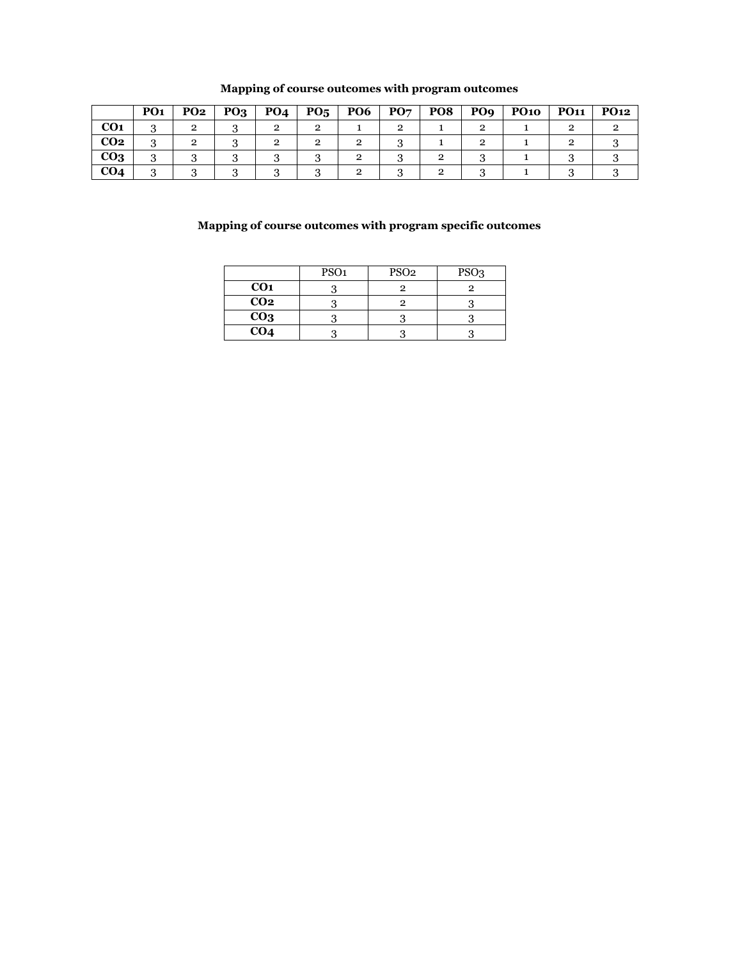|                 | PO <sub>1</sub> | <b>PO2</b> | PO <sub>3</sub> | PO <sub>4</sub> | $P_{05}$ | <b>PO6</b> | PO7 | PO8 | PO <sub>9</sub> | <b>PO10</b> | <b>PO11</b> | <b>PO12</b> |
|-----------------|-----------------|------------|-----------------|-----------------|----------|------------|-----|-----|-----------------|-------------|-------------|-------------|
| CO <sub>1</sub> |                 |            |                 |                 |          |            |     |     |                 |             |             |             |
| CO <sub>2</sub> |                 |            |                 |                 |          |            |     |     |                 |             |             |             |
| CO <sub>3</sub> |                 |            |                 |                 |          |            |     |     |                 |             |             |             |
| CO <sub>4</sub> |                 |            |                 |                 |          |            |     |     |                 |             |             |             |

#### **Mapping of course outcomes with program outcomes**

|                 | PSO <sub>1</sub> | PSO <sub>2</sub> | PSO <sub>3</sub> |
|-----------------|------------------|------------------|------------------|
| CO <sub>1</sub> |                  |                  |                  |
| CO <sub>2</sub> |                  |                  |                  |
| CO <sub>3</sub> |                  |                  |                  |
| CO <sub>4</sub> |                  |                  |                  |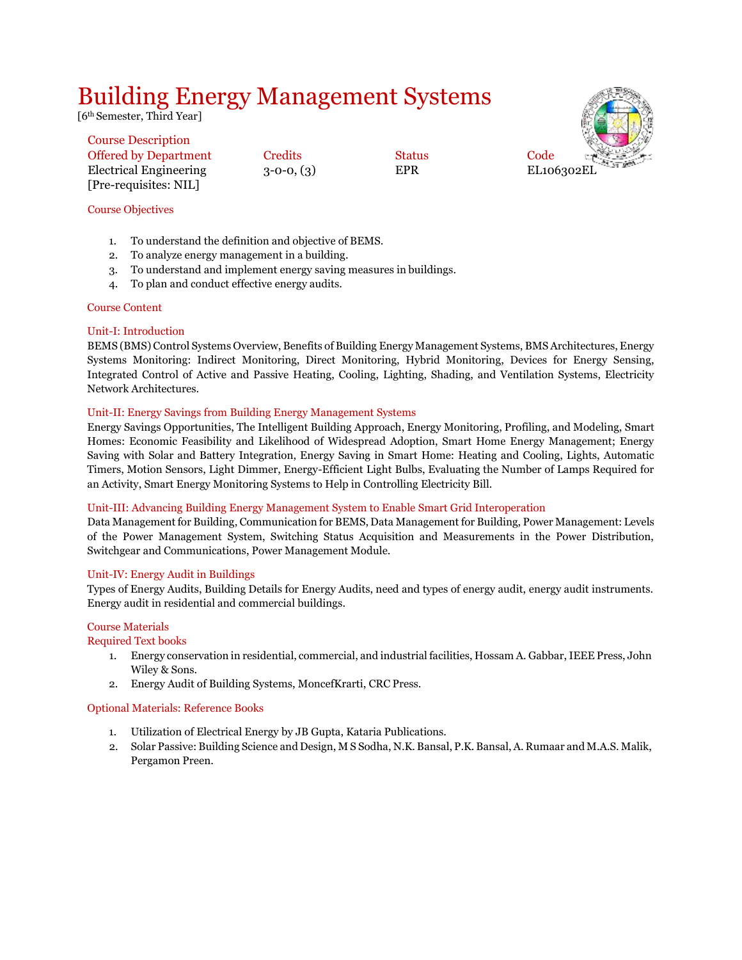## Building Energy Management Systems

[6<sup>th</sup> Semester, Third Year]

| Code<br>EL106302EL |  |
|--------------------|--|

#### Course Description Offered by Department Credits Status Electrical Engineering  $3$ -0-0,  $(3)$  EPR [Pre-requisites: NIL]

### Course Objectives

- 1. To understand the definition and objective of BEMS.
- 2. To analyze energy management in a building.
- 3. To understand and implement energy saving measures in buildings.
- 4. To plan and conduct effective energy audits.

#### Course Content

#### Unit-I: Introduction

BEMS (BMS) Control Systems Overview, Benefits of Building Energy Management Systems, BMS Architectures, Energy Systems Monitoring: Indirect Monitoring, Direct Monitoring, Hybrid Monitoring, Devices for Energy Sensing, Integrated Control of Active and Passive Heating, Cooling, Lighting, Shading, and Ventilation Systems, Electricity Network Architectures.

#### Unit-II: Energy Savings from Building Energy Management Systems

Energy Savings Opportunities, The Intelligent Building Approach, Energy Monitoring, Profiling, and Modeling, Smart Homes: Economic Feasibility and Likelihood of Widespread Adoption, Smart Home Energy Management; Energy Saving with Solar and Battery Integration, Energy Saving in Smart Home: Heating and Cooling, Lights, Automatic Timers, Motion Sensors, Light Dimmer, Energy-Efficient Light Bulbs, Evaluating the Number of Lamps Required for an Activity, Smart Energy Monitoring Systems to Help in Controlling Electricity Bill.

#### Unit-III: Advancing Building Energy Management System to Enable Smart Grid Interoperation

Data Management for Building, Communication for BEMS, Data Management for Building, Power Management: Levels of the Power Management System, Switching Status Acquisition and Measurements in the Power Distribution, Switchgear and Communications, Power Management Module.

#### Unit-IV: Energy Audit in Buildings

Types of Energy Audits, Building Details for Energy Audits, need and types of energy audit, energy audit instruments. Energy audit in residential and commercial buildings.

#### Course Materials

#### Required Text books

- 1. Energy conservation in residential, commercial, and industrial facilities, Hossam A. Gabbar, IEEE Press, John Wiley & Sons.
- 2. Energy Audit of Building Systems, MoncefKrarti, CRC Press.

#### Optional Materials: Reference Books

- 1. Utilization of Electrical Energy by JB Gupta, Kataria Publications.
- 2. Solar Passive: Building Science and Design, M S Sodha, N.K. Bansal, P.K. Bansal, A. Rumaar and M.A.S. Malik, Pergamon Preen.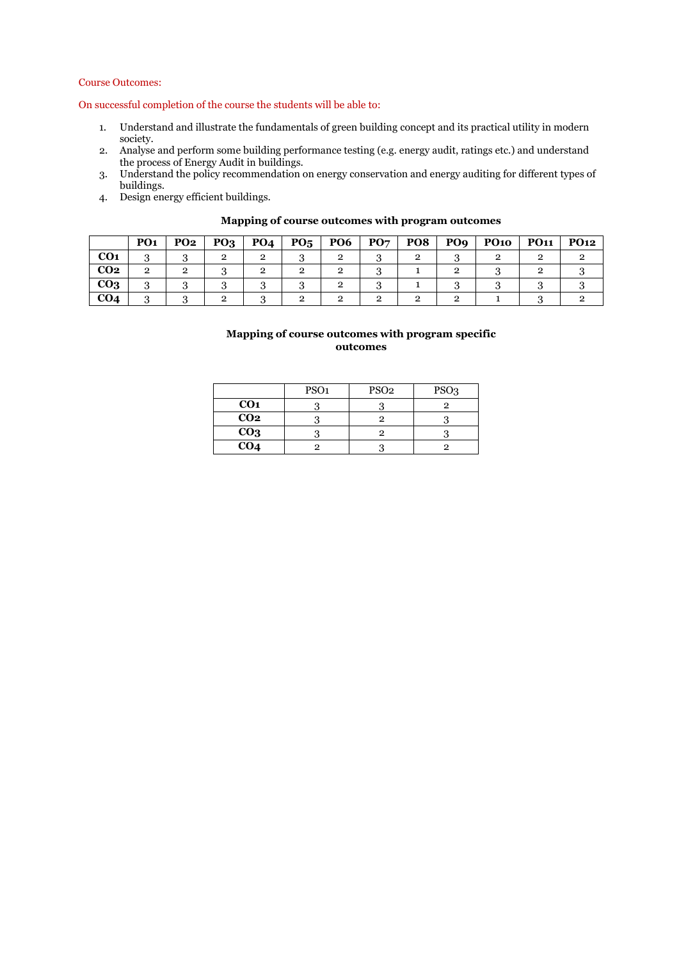#### Course Outcomes:

On successful completion of the course the students will be able to:

- 1. Understand and illustrate the fundamentals of green building concept and its practical utility in modern society.
- 2. Analyse and perform some building performance testing (e.g. energy audit, ratings etc.) and understand the process of Energy Audit in buildings.
- 3. Understand the policy recommendation on energy conservation and energy auditing for different types of buildings.
- 4. Design energy efficient buildings.

|                 | PO <sub>1</sub> | <b>PO2</b> | PQ <sub>3</sub> | <b>PO4</b> | $P_{05}$ | <b>PO6</b> | PO <sub>7</sub> | PO <sub>8</sub> | PO <sub>9</sub> | <b>PO10</b> | <b>PO11</b> | <b>PO12</b> |
|-----------------|-----------------|------------|-----------------|------------|----------|------------|-----------------|-----------------|-----------------|-------------|-------------|-------------|
| <b>CO1</b>      |                 |            |                 |            |          |            |                 |                 |                 |             |             |             |
| CO <sub>2</sub> | 2               |            |                 |            |          |            |                 |                 |                 |             |             |             |
| CO <sub>3</sub> |                 |            |                 |            |          |            |                 |                 |                 |             |             |             |
| CO4             |                 |            |                 |            |          |            |                 |                 |                 |             |             |             |

#### **Mapping of course outcomes with program outcomes**

|                 | PSO <sub>1</sub> | PSO <sub>2</sub> | PSO <sub>3</sub> |
|-----------------|------------------|------------------|------------------|
| CO <sub>1</sub> |                  |                  |                  |
| CO <sub>2</sub> |                  |                  |                  |
| CO <sub>3</sub> |                  |                  |                  |
| CO <sub>4</sub> |                  |                  |                  |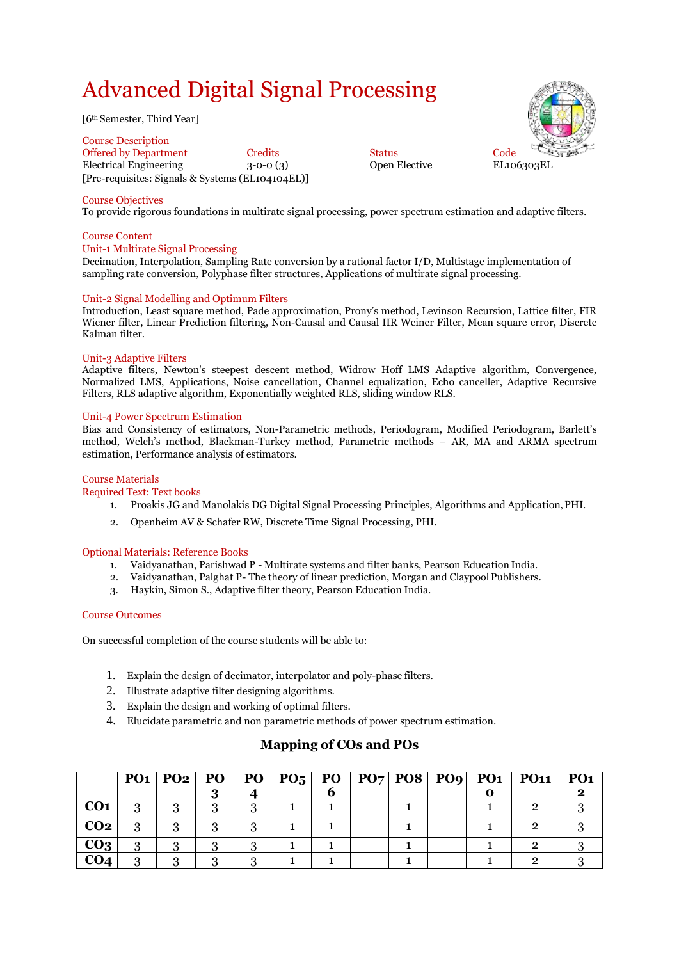## Advanced Digital Signal Processing

[6th Semester, Third Year]

Course Description Offered by Department Credits Code Code Code<br>
Electrical Engineering 3-0-0 (3) Open Elective EL106303EL Electrical Engineering  $3-0-0$  (3) [Pre-requisites: Signals & Systems (EL104104EL)]



#### Course Objectives

To provide rigorous foundations in multirate signal processing, power spectrum estimation and adaptive filters.

#### Course Content

#### Unit-1 Multirate Signal Processing

Decimation, Interpolation, Sampling Rate conversion by a rational factor I/D, Multistage implementation of sampling rate conversion, Polyphase filter structures, Applications of multirate signal processing.

#### Unit-2 Signal Modelling and Optimum Filters

Introduction, Least square method, Pade approximation, Prony's method, Levinson Recursion, Lattice filter, FIR Wiener filter, Linear Prediction filtering, Non-Causal and Causal IIR Weiner Filter, Mean square error, Discrete Kalman filter.

#### Unit-3 Adaptive Filters

Adaptive filters, Newton's steepest descent method, Widrow Hoff LMS Adaptive algorithm, Convergence, Normalized LMS, Applications, Noise cancellation, Channel equalization, Echo canceller, Adaptive Recursive Filters, RLS adaptive algorithm, Exponentially weighted RLS, sliding window RLS.

#### Unit-4 Power Spectrum Estimation

Bias and Consistency of estimators, Non-Parametric methods, Periodogram, Modified Periodogram, Barlett's method, Welch's method, Blackman-Turkey method, Parametric methods – AR, MA and ARMA spectrum estimation, Performance analysis of estimators.

#### Course Materials

#### Required Text: Text books

- 1. Proakis JG and Manolakis DG Digital Signal Processing Principles, Algorithms and Application,PHI.
- 2. Openheim AV & Schafer RW, Discrete Time Signal Processing, PHI.

#### Optional Materials: Reference Books

- 1. Vaidyanathan, Parishwad P Multirate systems and filter banks, Pearson Education India.
- 2. Vaidyanathan, Palghat P- The theory of linear prediction, Morgan and Claypool Publishers.
- 3. Haykin, Simon S., Adaptive filter theory, Pearson Education India.

#### Course Outcomes

On successful completion of the course students will be able to:

- 1. Explain the design of decimator, interpolator and poly-phase filters.
- 2. Illustrate adaptive filter designing algorithms.
- 3. Explain the design and working of optimal filters.
- 4. Elucidate parametric and non parametric methods of power spectrum estimation.

|                 |   |  |  |  |  | $PO1   PO2   PO   PO   PO5   PO   PO7   PO8   PO9   PO1   PO1   PO1$ |  |
|-----------------|---|--|--|--|--|----------------------------------------------------------------------|--|
|                 |   |  |  |  |  |                                                                      |  |
| CO <sub>1</sub> | റ |  |  |  |  |                                                                      |  |
| CO <sub>2</sub> |   |  |  |  |  |                                                                      |  |
| CO <sub>3</sub> |   |  |  |  |  |                                                                      |  |
| CO <sub>4</sub> |   |  |  |  |  |                                                                      |  |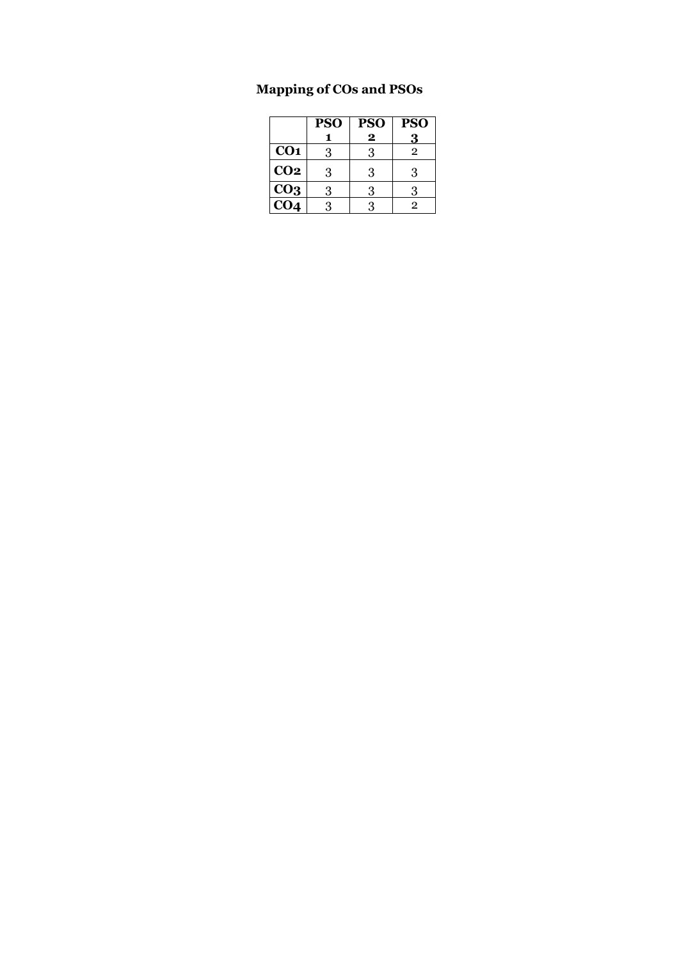|                 | <b>PSO</b> | <b>PSO</b>              | <b>PSO</b>     |
|-----------------|------------|-------------------------|----------------|
|                 |            | $\overline{\mathbf{2}}$ | $\bf{3}$       |
| CO <sub>1</sub> | 3          | 3                       | $\overline{2}$ |
| CO <sub>2</sub> | 3          | 3                       | 3              |
| CO <sub>3</sub> | 3          | 3                       | 3              |
| CO <sub>4</sub> | 3          | 3                       | 2              |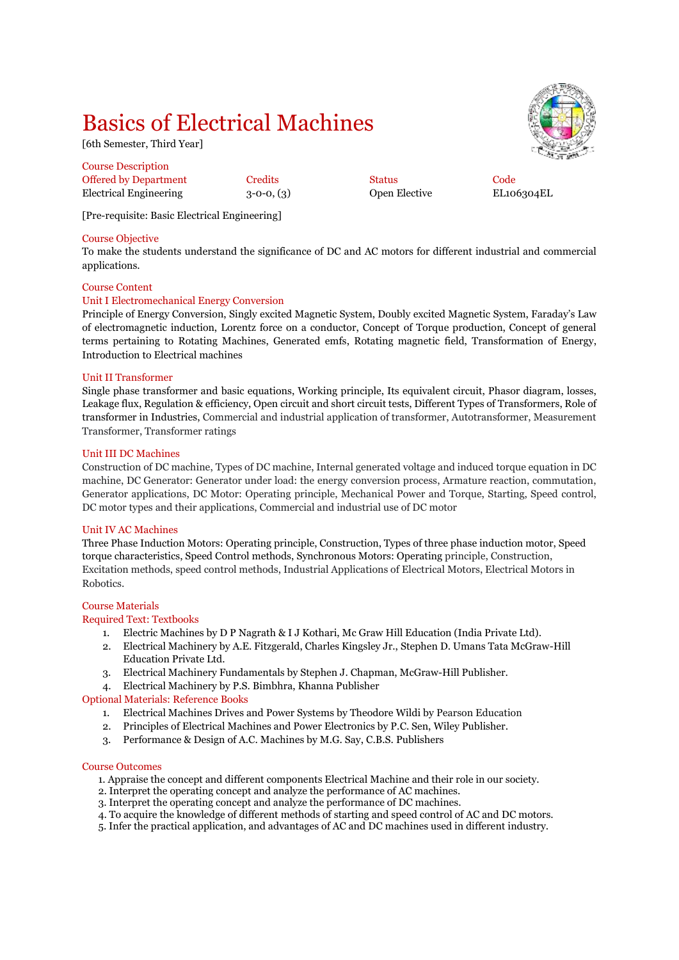## Basics of Electrical Machines

[6th Semester, Third Year]

| <b>Course Description</b> |              |               |      |
|---------------------------|--------------|---------------|------|
| Offered by Department     | Credits      | <b>Status</b> | Code |
| Electrical Engineering    | $3-0-0, (3)$ | Open Elective | EL10 |

 $3$ -0-0,  $(3)$  Open Elective EL106304EL

[Pre-requisite: Basic Electrical Engineering]

#### Course Objective

To make the students understand the significance of DC and AC motors for different industrial and commercial applications.

#### Course Content

#### Unit I Electromechanical Energy Conversion

Principle of Energy Conversion, Singly excited Magnetic System, Doubly excited Magnetic System, Faraday's Law of electromagnetic induction, Lorentz force on a conductor, Concept of Torque production, Concept of general terms pertaining to Rotating Machines, Generated emfs, Rotating magnetic field, Transformation of Energy, Introduction to Electrical machines

#### Unit II Transformer

Single phase transformer and basic equations, Working principle, Its equivalent circuit, Phasor diagram, losses, Leakage flux, Regulation & efficiency, Open circuit and short circuit tests, Different Types of Transformers, Role of transformer in Industries, Commercial and industrial application of transformer, Autotransformer, Measurement Transformer, Transformer ratings

#### Unit III DC Machines

Construction of DC machine, Types of DC machine, Internal generated voltage and induced torque equation in DC machine, DC Generator: Generator under load: the energy conversion process, Armature reaction, commutation, Generator applications, DC Motor: Operating principle, Mechanical Power and Torque, Starting, Speed control, DC motor types and their applications, Commercial and industrial use of DC motor

#### Unit IV AC Machines

Three Phase Induction Motors: Operating principle, Construction, Types of three phase induction motor, Speed torque characteristics, Speed Control methods, Synchronous Motors: Operating principle, Construction, Excitation methods, speed control methods, Industrial Applications of Electrical Motors, Electrical Motors in Robotics.

#### Course Materials

#### Required Text: Textbooks

- 1. Electric Machines by D P Nagrath & I J Kothari, Mc Graw Hill Education (India Private Ltd).
- 2. Electrical Machinery by A.E. Fitzgerald, Charles Kingsley Jr., Stephen D. Umans Tata McGraw-Hill Education Private Ltd.
- 3. Electrical Machinery Fundamentals by Stephen J. Chapman, McGraw-Hill Publisher.
- 4. Electrical Machinery by P.S. Bimbhra, Khanna Publisher

#### Optional Materials: Reference Books

- 1. Electrical Machines Drives and Power Systems by Theodore Wildi by Pearson Education
- 2. Principles of Electrical Machines and Power Electronics by P.C. Sen, Wiley Publisher.
- 3. Performance & Design of A.C. Machines by M.G. Say, C.B.S. Publishers

#### Course Outcomes

- 1. Appraise the concept and different components Electrical Machine and their role in our society.
- 2. Interpret the operating concept and analyze the performance of AC machines.
- 3. Interpret the operating concept and analyze the performance of DC machines.
- 4. To acquire the knowledge of different methods of starting and speed control of AC and DC motors.
- 5. Infer the practical application, and advantages of AC and DC machines used in different industry.

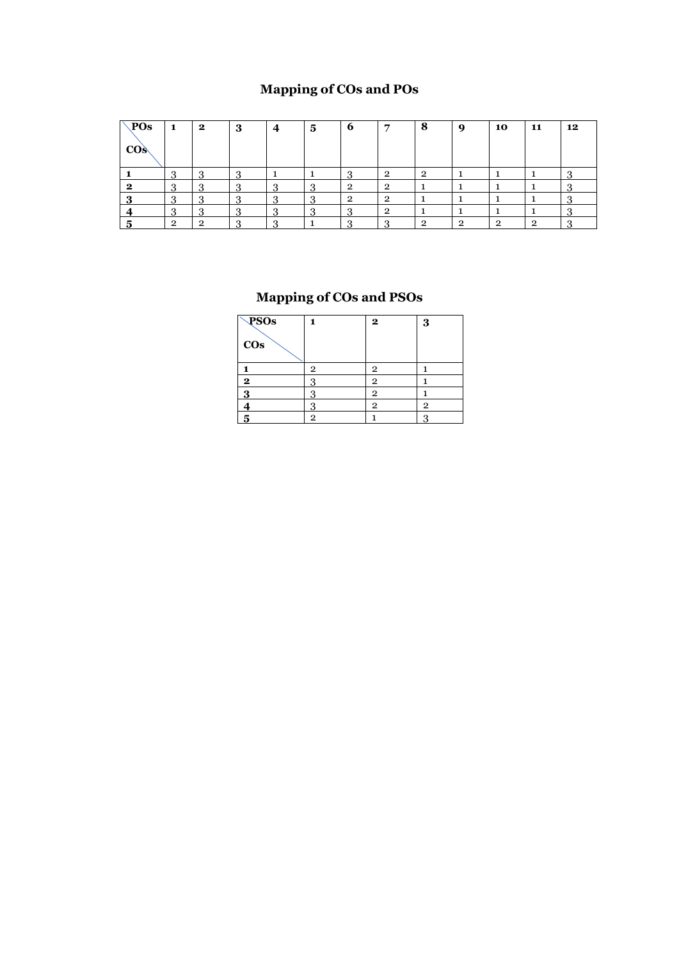## **Mapping of COs and POs**

| POs<br>$\cos$ | 1              | 2  | -3 | 4 | 5             | 6 | ▀ | 8 | 9 | 10 | 11 | 12 |
|---------------|----------------|----|----|---|---------------|---|---|---|---|----|----|----|
|               |                |    |    |   |               |   | റ | റ |   |    |    |    |
| 2             | ٠U             | ٠J |    |   |               | റ | റ |   |   |    |    |    |
|               | C<br>- 1       | лJ |    |   | ິ<br>.,       | റ | റ |   |   |    |    |    |
|               | $\Omega$<br>J. | O  |    |   | $\Omega$<br>ັ | u | റ |   |   |    |    |    |
|               | ີ              | ົ  |    |   |               |   |   | റ | ີ | ົ  | ົ  |    |

| <b>PSOs</b><br>$\cos$ |                | $\mathbf{2}$   | 3            |
|-----------------------|----------------|----------------|--------------|
|                       | $\overline{2}$ | $\overline{2}$ |              |
| $\mathbf{2}$          | 3              | $\mathbf{2}$   |              |
| 3                     | 3              | $\mathbf{2}$   |              |
|                       | q<br>٠J        | $\mathbf{2}$   | $\mathbf{2}$ |
| 5                     | $\overline{2}$ |                | 3            |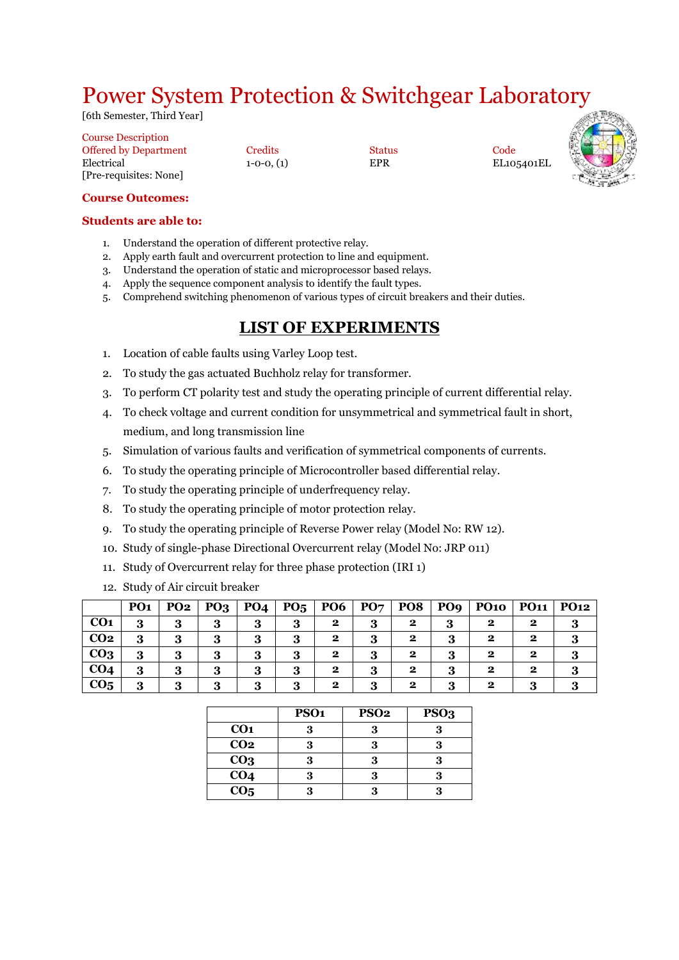## Power System Protection & Switchgear Laboratory

[6th Semester, Third Year]

| <b>Course Description</b>    |                |               |      |
|------------------------------|----------------|---------------|------|
| <b>Offered by Department</b> | Credits        | <b>Status</b> | Code |
| Electrical                   | $1-0-0.$ $(1)$ | EPR           | EL10 |
| [Pre-requisites: None]       |                |               |      |

0, (1) EPR EL105401EL



#### **Course Outcomes:**

#### **Students are able to:**

- 1. Understand the operation of different protective relay.
- 2. Apply earth fault and overcurrent protection to line and equipment.
- 3. Understand the operation of static and microprocessor based relays.
- 4. Apply the sequence component analysis to identify the fault types.
- 5. Comprehend switching phenomenon of various types of circuit breakers and their duties.

### **LIST OF EXPERIMENTS**

- 1. Location of cable faults using Varley Loop test.
- 2. To study the gas actuated Buchholz relay for transformer.
- 3. To perform CT polarity test and study the operating principle of current differential relay.
- 4. To check voltage and current condition for unsymmetrical and symmetrical fault in short, medium, and long transmission line
- 5. Simulation of various faults and verification of symmetrical components of currents.
- 6. To study the operating principle of Microcontroller based differential relay.
- 7. To study the operating principle of underfrequency relay.
- 8. To study the operating principle of motor protection relay.
- 9. To study the operating principle of Reverse Power relay (Model No: RW 12).
- 10. Study of single-phase Directional Overcurrent relay (Model No: JRP 011)
- 11. Study of Overcurrent relay for three phase protection (IRI 1)
- 12. Study of Air circuit breaker

|                 | PO <sub>1</sub> | PO <sub>2</sub> | PO <sub>3</sub> | PO <sub>4</sub> | $P_{05}$ | <b>PO6</b>   | PO <sub>7</sub> | PO <sub>8</sub> | PO <sub>9</sub> | <b>PO10</b> | PO11        | <b>PO12</b> |
|-----------------|-----------------|-----------------|-----------------|-----------------|----------|--------------|-----------------|-----------------|-----------------|-------------|-------------|-------------|
| CO <sub>1</sub> | 3               |                 | 3               | 3               | 3        | $\mathbf{2}$ | 3               | $\mathbf{2}$    | 3               | 2           | 2           |             |
| CO <sub>2</sub> | 3               | 3               | 3               | 3               | 3        | $\mathbf{2}$ | 3               | $\mathbf 2$     | 3               | $\mathbf 2$ | $\bf{2}$    |             |
| CO <sub>3</sub> | 3               |                 | 3               | 3               | 3        | $\mathbf{2}$ | 3               | $\mathbf 2$     | 3               | $\mathbf 2$ | $\bf{2}$    |             |
| CO <sub>4</sub> | 3               | 3               | 3               | 3               | 3        | $\mathbf{2}$ | 3               | $\mathbf 2$     | 3               | $\mathbf 2$ | $\mathbf 2$ |             |
| CO <sub>5</sub> | 3               | 3               | 3               | 3               | 3        | $\mathbf{2}$ | 3               | $\mathbf{2}$    | 3               | $\mathbf 2$ | 0           |             |

|                 | PSO <sub>1</sub> | PSO <sub>2</sub> | PSO <sub>3</sub> |
|-----------------|------------------|------------------|------------------|
| CO <sub>1</sub> | 3                | 3                |                  |
| CO <sub>2</sub> | 3                | 3                |                  |
| CO <sub>3</sub> | 3                | 3                |                  |
| CO <sub>4</sub> | ۹                |                  |                  |
| CO <sub>5</sub> | q                |                  |                  |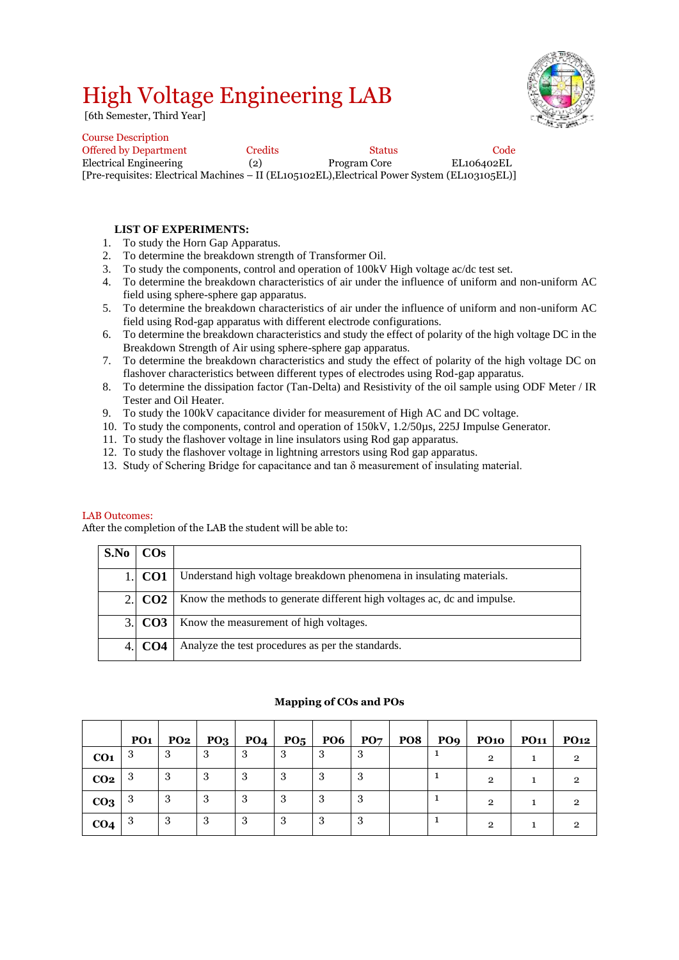## High Voltage Engineering LAB

[6th Semester, Third Year]

Course Description



| Course Description                                                                            |                |               |            |
|-----------------------------------------------------------------------------------------------|----------------|---------------|------------|
| <b>Offered by Department</b>                                                                  | <b>Credits</b> | <b>Status</b> | Code       |
| Electrical Engineering                                                                        | (2)            | Program Core  | EL106402EL |
| [Pre-requisites: Electrical Machines – II (EL105102EL), Electrical Power System (EL103105EL)] |                |               |            |

#### **LIST OF EXPERIMENTS:**

- 1. To study the Horn Gap Apparatus.
- 2. To determine the breakdown strength of Transformer Oil.
- 3. To study the components, control and operation of 100kV High voltage ac/dc test set.
- 4. To determine the breakdown characteristics of air under the influence of uniform and non-uniform AC field using sphere-sphere gap apparatus.
- 5. To determine the breakdown characteristics of air under the influence of uniform and non-uniform AC field using Rod-gap apparatus with different electrode configurations.
- 6. To determine the breakdown characteristics and study the effect of polarity of the high voltage DC in the Breakdown Strength of Air using sphere-sphere gap apparatus.
- 7. To determine the breakdown characteristics and study the effect of polarity of the high voltage DC on flashover characteristics between different types of electrodes using Rod-gap apparatus.
- 8. To determine the dissipation factor (Tan-Delta) and Resistivity of the oil sample using ODF Meter / IR Tester and Oil Heater.
- 9. To study the 100kV capacitance divider for measurement of High AC and DC voltage.
- 10. To study the components, control and operation of 150kV, 1.2/50µs, 225J Impulse Generator.
- 11. To study the flashover voltage in line insulators using Rod gap apparatus.
- 12. To study the flashover voltage in lightning arrestors using Rod gap apparatus.
- 13. Study of Schering Bridge for capacitance and tan δ measurement of insulating material.

#### LAB Outcomes:

After the completion of the LAB the student will be able to:

| S.No | <b>COs</b>      |                                                                          |
|------|-----------------|--------------------------------------------------------------------------|
|      | CO <sub>1</sub> | Understand high voltage breakdown phenomena in insulating materials.     |
|      | $2 \mid CO2$    | Know the methods to generate different high voltages ac, dc and impulse. |
|      | $3.$ CO3        | Know the measurement of high voltages.                                   |
|      |                 | Analyze the test procedures as per the standards.                        |

|                 | PO <sub>1</sub> | PO <sub>2</sub> | $PO_3$ | <b>PO4</b> | PO <sub>5</sub> | <b>PO6</b> | PO <sub>7</sub> | <b>PO8</b> | PO9 | <b>PO10</b>    | <b>PO11</b> | <b>PO12</b> |
|-----------------|-----------------|-----------------|--------|------------|-----------------|------------|-----------------|------------|-----|----------------|-------------|-------------|
| CO <sub>1</sub> | 3               | 3               | 3      |            | 3               | 3          | 3               |            |     | $\mathfrak{D}$ |             |             |
| CO <sub>2</sub> | 3               | 3               | -3     | 3          | 3               | 3          | 3               |            |     | $\mathfrak{D}$ |             |             |
| CO <sub>3</sub> | 3               | 3               | 3      | 3          | 3               | 3          | 3               |            |     | $\overline{2}$ |             |             |
| CO <sub>4</sub> | 3               | 3               | 3      | 3          | 3               | 3          | 3               |            |     | $\mathfrak{D}$ |             |             |